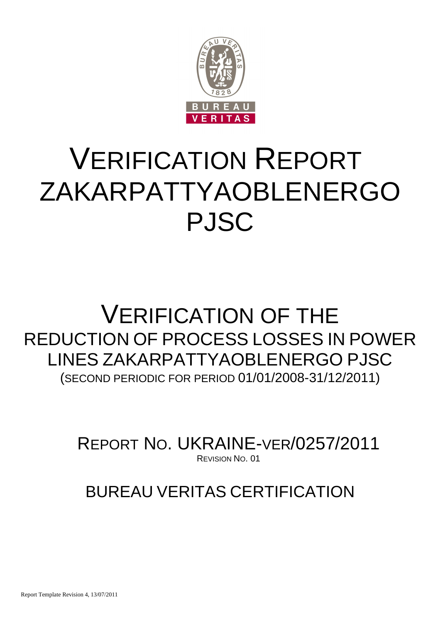

# VERIFICATION REPORT ZAKARPATTYAOBLENERGO PJSC

## VERIFICATION OF THE REDUCTION OF PROCESS LOSSES IN POWER LINES ZAKARPATTYAOBLENERGO PJSC (SECOND PERIODIC FOR PERIOD 01/01/2008-31/12/2011)

REPORT NO. UKRAINE-VER/0257/2011 REVISION NO. 01

BUREAU VERITAS CERTIFICATION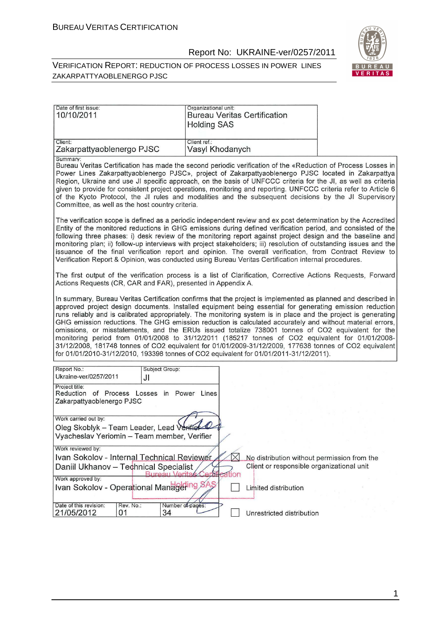#### Report No: UKRAINE-ver/0257/2011

#### VERIFICATION REPORT: REDUCTION OF PROCESS LOSSES IN POWER LINES ZAKARPATTYAOBLENERGO PJSC



| Date of first issue:<br>10/10/2011                                                                                                                                         | Organizational unit:<br><b>Bureau Veritas Certification</b><br><b>Holding SAS</b>                                                                                                                                                                                                                                                                                                                                                                                                                                                                                                                                                                                                                                                                                                                                                                                     |  |
|----------------------------------------------------------------------------------------------------------------------------------------------------------------------------|-----------------------------------------------------------------------------------------------------------------------------------------------------------------------------------------------------------------------------------------------------------------------------------------------------------------------------------------------------------------------------------------------------------------------------------------------------------------------------------------------------------------------------------------------------------------------------------------------------------------------------------------------------------------------------------------------------------------------------------------------------------------------------------------------------------------------------------------------------------------------|--|
| Client:<br>Zakarpattyaoblenergo PJSC                                                                                                                                       | Client ref.:<br>Vasyl Khodanych                                                                                                                                                                                                                                                                                                                                                                                                                                                                                                                                                                                                                                                                                                                                                                                                                                       |  |
| Summary:<br>Committee, as well as the host country criteria.                                                                                                               | Bureau Veritas Certification has made the second periodic verification of the «Reduction of Process Losses in<br>Power Lines Zakarpattyaoblenergo PJSC», project of Zakarpattyaoblenergo PJSC located in Zakarpattya<br>Region, Ukraine and use JI specific approach, on the basis of UNFCCC criteria for the JI, as well as criteria<br>given to provide for consistent project operations, monitoring and reporting. UNFCCC criteria refer to Article 6<br>of the Kyoto Protocol, the JI rules and modalities and the subsequent decisions by the JI Supervisory                                                                                                                                                                                                                                                                                                    |  |
|                                                                                                                                                                            | The verification scope is defined as a periodic independent review and ex post determination by the Accredited<br>Entity of the monitored reductions in GHG emissions during defined verification period, and consisted of the<br>following three phases: i) desk review of the monitoring report against project design and the baseline and<br>monitoring plan; ii) follow-up interviews with project stakeholders; iii) resolution of outstanding issues and the<br>issuance of the final verification report and opinion. The overall verification, from Contract Review to<br>Verification Report & Opinion, was conducted using Bureau Veritas Certification internal procedures.                                                                                                                                                                               |  |
| Actions Requests (CR, CAR and FAR), presented in Appendix A.                                                                                                               | The first output of the verification process is a list of Clarification, Corrective Actions Requests, Forward                                                                                                                                                                                                                                                                                                                                                                                                                                                                                                                                                                                                                                                                                                                                                         |  |
|                                                                                                                                                                            | In summary, Bureau Veritas Certification confirms that the project is implemented as planned and described in<br>approved project design documents. Installed equipment being essential for generating emission reduction<br>runs reliably and is calibrated appropriately. The monitoring system is in place and the project is generating<br>GHG emission reductions. The GHG emission reduction is calculated accurately and without material errors,<br>omissions, or misstatements, and the ERUs issued totalize 738001 tonnes of CO2 equivalent for the<br>monitoring period from 01/01/2008 to 31/12/2011 (185217 tonnes of CO2 equivalent for 01/01/2008-<br>31/12/2008, 181748 tonnes of CO2 equivalent for 01/01/2009-31/12/2009, 177638 tonnes of CO2 equivalent<br>for 01/01/2010-31/12/2010, 193398 tonnes of CO2 equivalent for 01/01/2011-31/12/2011). |  |
| Report No.:<br>Subject Group:<br>Ukraine-ver/0257/2011<br>JI                                                                                                               |                                                                                                                                                                                                                                                                                                                                                                                                                                                                                                                                                                                                                                                                                                                                                                                                                                                                       |  |
| Project title:<br>Reduction of Process Losses in Power Lines<br>Zakarpattyaoblenergo PJSC                                                                                  |                                                                                                                                                                                                                                                                                                                                                                                                                                                                                                                                                                                                                                                                                                                                                                                                                                                                       |  |
| Work carried out by:<br>Oleg Skoblyk - Team Leader, Lead Veriff<br>Vyacheslav Yeriomin - Team member, Verifier                                                             |                                                                                                                                                                                                                                                                                                                                                                                                                                                                                                                                                                                                                                                                                                                                                                                                                                                                       |  |
| Work reviewed by:<br>Ivan Sokolov - Internal Technical Reviewer<br>Daniil Ukhanov - Technical Specialist<br>Work approved by:<br>Ivan Sokolov - Operational Managering SAS | No distribution without permission from the<br>Client or responsible organizational unit<br>tion<br>Limited distribution                                                                                                                                                                                                                                                                                                                                                                                                                                                                                                                                                                                                                                                                                                                                              |  |
| Rev. No.:<br>Date of this revision:<br>Number of pages:<br>21/05/2012<br>01<br>34                                                                                          | Unrestricted distribution                                                                                                                                                                                                                                                                                                                                                                                                                                                                                                                                                                                                                                                                                                                                                                                                                                             |  |

1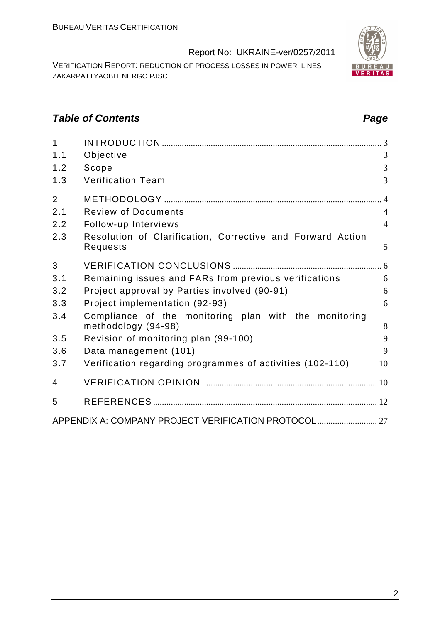VERIFICATION REPORT: REDUCTION OF PROCESS LOSSES IN POWER LINES ZAKARPATTYAOBLENERGO PJSC

#### **Table of Contents Page 2014**

| $\overline{1}$ |                                                                        |                |
|----------------|------------------------------------------------------------------------|----------------|
| 1.1            | Objective                                                              | 3              |
| 1.2            | Scope                                                                  | 3              |
| 1.3            | <b>Verification Team</b>                                               | 3              |
| $\overline{2}$ |                                                                        | $\overline{4}$ |
| 2.1            | <b>Review of Documents</b>                                             | $\overline{4}$ |
| 2.2            | Follow-up Interviews                                                   | $\overline{4}$ |
| 2.3            | Resolution of Clarification, Corrective and Forward Action<br>Requests | 5              |
| 3              |                                                                        |                |
| 3.1            | Remaining issues and FARs from previous verifications                  | 6              |
| 3.2            | Project approval by Parties involved (90-91)                           | 6              |
| 3.3            | Project implementation (92-93)                                         | 6              |
| 3.4            | Compliance of the monitoring plan with the monitoring                  |                |
|                | methodology (94-98)                                                    | 8<br>9         |
| 3.5            | Revision of monitoring plan (99-100)                                   |                |
| 3.6            | Data management (101)                                                  | 9              |
| 3.7            | Verification regarding programmes of activities (102-110)              | 10             |
| 4              |                                                                        |                |
| 5              |                                                                        |                |
|                |                                                                        |                |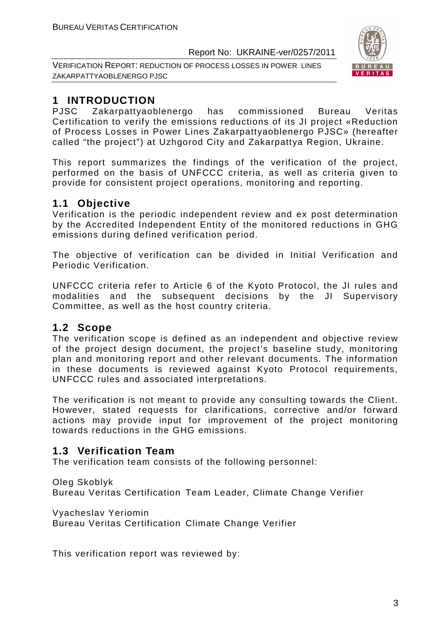VERIFICATION REPORT: REDUCTION OF PROCESS LOSSES IN POWER LINES ZAKARPATTYAOBLENERGO PJSC



### **1 INTRODUCTION**

PJSC Zakarpattyaoblenergo has commissioned Bureau Veritas Certification to verify the emissions reductions of its JI project «Reduction of Process Losses in Power Lines Zakarpattyaoblenergo PJSC» (hereafter called "the project") at Uzhgorod City and Zakarpattya Region, Ukraine.

This report summarizes the findings of the verification of the project, performed on the basis of UNFCCC criteria, as well as criteria given to provide for consistent project operations, monitoring and reporting.

#### **1.1 Objective**

Verification is the periodic independent review and ex post determination by the Accredited Independent Entity of the monitored reductions in GHG emissions during defined verification period.

The objective of verification can be divided in Initial Verification and Periodic Verification.

UNFCCC criteria refer to Article 6 of the Kyoto Protocol, the JI rules and modalities and the subsequent decisions by the JI Supervisory Committee, as well as the host country criteria.

#### **1.2 Scope**

The verification scope is defined as an independent and objective review of the project design document, the project's baseline study, monitoring plan and monitoring report and other relevant documents. The information in these documents is reviewed against Kyoto Protocol requirements, UNFCCC rules and associated interpretations.

The verification is not meant to provide any consulting towards the Client. However, stated requests for clarifications, corrective and/or forward actions may provide input for improvement of the project monitoring towards reductions in the GHG emissions.

#### **1.3 Verification Team**

The verification team consists of the following personnel:

Oleg Skoblyk

Bureau Veritas Certification Team Leader, Climate Change Verifier

Vyacheslav Yeriomin

Bureau Veritas Certification Climate Change Verifier

This verification report was reviewed by: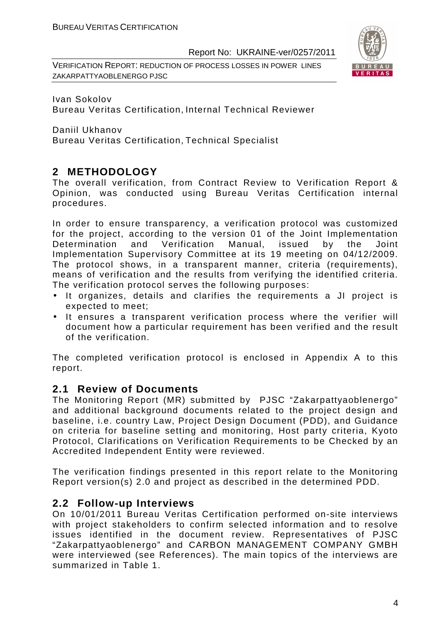VERIFICATION REPORT: REDUCTION OF PROCESS LOSSES IN POWER LINES ZAKARPATTYAOBLENERGO PJSC



Ivan Sokolov Bureau Veritas Certification, Internal Technical Reviewer

Daniil Ukhanov Bureau Veritas Certification, Technical Specialist

#### **2 METHODOLOGY**

The overall verification, from Contract Review to Verification Report & Opinion, was conducted using Bureau Veritas Certification internal procedures.

In order to ensure transparency, a verification protocol was customized for the project, according to the version 01 of the Joint Implementation Determination and Verification Manual, issued by the Joint Implementation Supervisory Committee at its 19 meeting on 04/12/2009. The protocol shows, in a transparent manner, criteria (requirements), means of verification and the results from verifying the identified criteria. The verification protocol serves the following purposes:

- It organizes, details and clarifies the requirements a JI project is expected to meet;
- It ensures a transparent verification process where the verifier will document how a particular requirement has been verified and the result of the verification.

The completed verification protocol is enclosed in Appendix A to this report.

#### **2.1 Review of Documents**

The Monitoring Report (MR) submitted by PJSC "Zakarpattyaoblenergo" and additional background documents related to the project design and baseline, i.e. country Law, Project Design Document (PDD), and Guidance on criteria for baseline setting and monitoring, Host party criteria, Kyoto Protocol, Clarifications on Verification Requirements to be Checked by an Accredited Independent Entity were reviewed.

The verification findings presented in this report relate to the Monitoring Report version(s) 2.0 and project as described in the determined PDD.

#### **2.2 Follow-up Interviews**

On 10/01/2011 Bureau Veritas Certification performed on-site interviews with project stakeholders to confirm selected information and to resolve issues identified in the document review. Representatives of PJSC "Zakarpattyaoblenergo" and CARBON MANAGEMENT COMPANY GMBH were interviewed (see References). The main topics of the interviews are summarized in Table 1.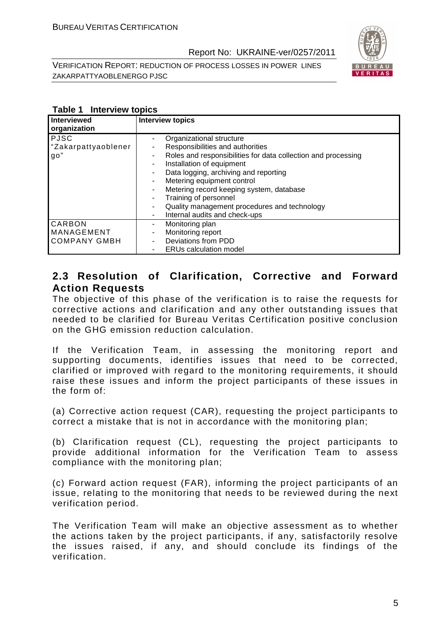VERIFICATION REPORT: REDUCTION OF PROCESS LOSSES IN POWER LINES ZAKARPATTYAOBLENERGO PJSC



| Interviewed<br>organization                 | <b>Interview topics</b>                                                                                                                                                                                                                                                                                                                                                                                       |
|---------------------------------------------|---------------------------------------------------------------------------------------------------------------------------------------------------------------------------------------------------------------------------------------------------------------------------------------------------------------------------------------------------------------------------------------------------------------|
| <b>PJSC</b><br>"Zakarpattyaoblener<br>90"   | Organizational structure<br>Responsibilities and authorities<br>Roles and responsibilities for data collection and processing<br>۰.<br>Installation of equipment<br>۰.<br>Data logging, archiving and reporting<br>۰<br>Metering equipment control<br>Metering record keeping system, database<br>۰<br>Training of personnel<br>Quality management procedures and technology<br>Internal audits and check-ups |
| CARBON<br>MANAGEMENT<br><b>COMPANY GMBH</b> | Monitoring plan<br>-<br>Monitoring report<br>۰<br>Deviations from PDD<br><b>ERUs calculation model</b>                                                                                                                                                                                                                                                                                                        |

#### **Table 1 Interview topics**

#### **2.3 Resolution of Clarification, Corrective and Forward Action Requests**

The objective of this phase of the verification is to raise the requests for corrective actions and clarification and any other outstanding issues that needed to be clarified for Bureau Veritas Certification positive conclusion on the GHG emission reduction calculation.

If the Verification Team, in assessing the monitoring report and supporting documents, identifies issues that need to be corrected, clarified or improved with regard to the monitoring requirements, it should raise these issues and inform the project participants of these issues in the form of:

(a) Corrective action request (CAR), requesting the project participants to correct a mistake that is not in accordance with the monitoring plan;

(b) Clarification request (CL), requesting the project participants to provide additional information for the Verification Team to assess compliance with the monitoring plan;

(c) Forward action request (FAR), informing the project participants of an issue, relating to the monitoring that needs to be reviewed during the next verification period.

The Verification Team will make an objective assessment as to whether the actions taken by the project participants, if any, satisfactorily resolve the issues raised, if any, and should conclude its findings of the verification.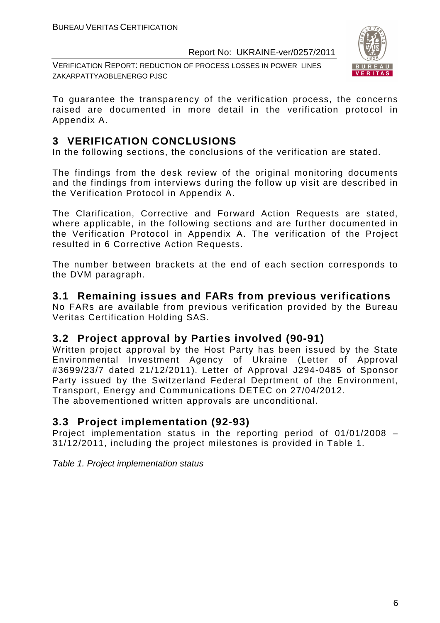VERIFICATION REPORT: REDUCTION OF PROCESS LOSSES IN POWER LINES ZAKARPATTYAOBLENERGO PJSC



To guarantee the transparency of the verification process, the concerns raised are documented in more detail in the verification protocol in Appendix A.

#### **3 VERIFICATION CONCLUSIONS**

In the following sections, the conclusions of the verification are stated.

The findings from the desk review of the original monitoring documents and the findings from interviews during the follow up visit are described in the Verification Protocol in Appendix A.

The Clarification, Corrective and Forward Action Requests are stated, where applicable, in the following sections and are further documented in the Verification Protocol in Appendix A. The verification of the Project resulted in 6 Corrective Action Requests.

The number between brackets at the end of each section corresponds to the DVM paragraph.

#### **3.1 Remaining issues and FARs from previous verifications**

No FARs are available from previous verification provided by the Bureau Veritas Certification Holding SAS.

#### **3.2 Project approval by Parties involved (90-91)**

Written project approval by the Host Party has been issued by the State Environmental Investment Agency of Ukraine (Letter of Approval #3699/23/7 dated 21/12/2011). Letter of Approval J294-0485 of Sponsor Party issued by the Switzerland Federal Deprtment of the Environment, Transport, Energy and Communications DETEC on 27/04/2012. The abovementioned written approvals are unconditional.

#### **3.3 Project implementation (92-93)**

Project implementation status in the reporting period of 01/01/2008 – 31/12/2011, including the project milestones is provided in Table 1.

Table 1. Project implementation status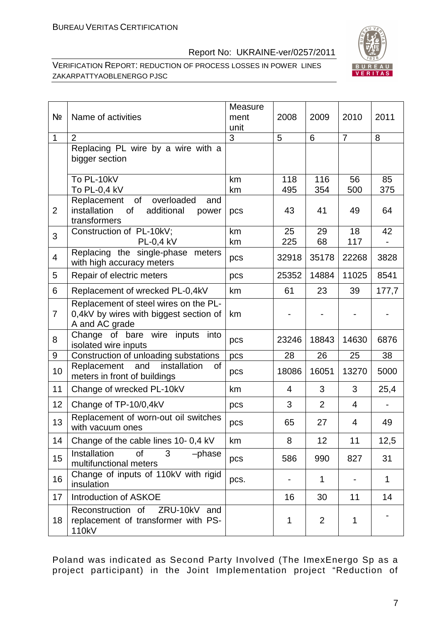

VERIFICATION REPORT: REDUCTION OF PROCESS LOSSES IN POWER LINES ZAKARPATTYAOBLENERGO PJSC

| Nº             | Name of activities                                                                                  | Measure<br>ment<br>unit | 2008           | 2009           | 2010           | 2011         |
|----------------|-----------------------------------------------------------------------------------------------------|-------------------------|----------------|----------------|----------------|--------------|
| $\mathbf{1}$   | $\overline{2}$                                                                                      | 3                       | 5              | 6              | $\overline{7}$ | 8            |
|                | Replacing PL wire by a wire with a<br>bigger section                                                |                         |                |                |                |              |
|                | To PL-10kV<br>To PL-0,4 kV                                                                          | km<br>km                | 118<br>495     | 116<br>354     | 56<br>500      | 85<br>375    |
| $\overline{2}$ | of<br>overloaded<br>Replacement<br>and<br>installation<br>additional<br>of<br>power<br>transformers | pcs                     | 43             | 41             | 49             | 64           |
| 3              | Construction of PL-10kV;<br><b>PL-0,4 kV</b>                                                        | km<br>km                | 25<br>225      | 29<br>68       | 18<br>117      | 42           |
| $\overline{4}$ | Replacing the single-phase<br>meters<br>with high accuracy meters                                   | pcs                     | 32918          | 35178          | 22268          | 3828         |
| 5              | Repair of electric meters                                                                           | pcs                     | 25352          | 14884          | 11025          | 8541         |
| 6              | Replacement of wrecked PL-0,4kV                                                                     | km                      | 61             | 23             | 39             | 177,7        |
| $\overline{7}$ | Replacement of steel wires on the PL-<br>0,4kV by wires with biggest section of<br>A and AC grade   | km                      |                |                |                |              |
| 8              | Change of bare<br>wire inputs<br>into<br>isolated wire inputs                                       | pcs                     | 23246          | 18843          | 14630          | 6876         |
| 9              | Construction of unloading substations                                                               | pcs                     | 28             | 26             | 25             | 38           |
| 10             | installation<br>of<br>Replacement<br>and<br>meters in front of buildings                            | pcs                     | 18086          | 16051          | 13270          | 5000         |
| 11             | Change of wrecked PL-10kV                                                                           | km                      | $\overline{4}$ | 3              | 3              | 25,4         |
| 12             | Change of TP-10/0,4kV                                                                               | pcs                     | 3              | $\overline{2}$ | $\overline{4}$ |              |
| 13             | Replacement of worn-out oil switches<br>with vacuum ones                                            | pcs                     | 65             | 27             | 4              | 49           |
| 14             | Change of the cable lines 10- 0,4 kV                                                                | km                      | 8              | 12             | 11             | 12,5         |
| 15             | Installation<br>3<br><b>of</b><br>-phase<br>multifunctional meters                                  | pcs                     | 586            | 990            | 827            | 31           |
| 16             | Change of inputs of 110kV with rigid<br>insulation                                                  | pcs.                    |                | 1              |                | $\mathbf{1}$ |
| 17             | Introduction of ASKOE                                                                               |                         | 16             | 30             | 11             | 14           |
| 18             | Reconstruction of<br>ZRU-10kV and<br>replacement of transformer with PS-<br>110kV                   |                         | 1              | $\overline{2}$ | 1              |              |

Poland was indicated as Second Party Involved (The ImexEnergo Sp as a project participant) in the Joint Implementation project "Reduction of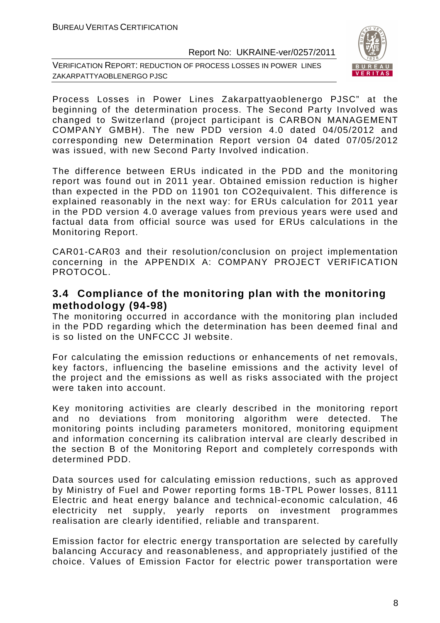VERIFICATION REPORT: REDUCTION OF PROCESS LOSSES IN POWER LINES ZAKARPATTYAOBLENERGO PJSC



Process Losses in Power Lines Zakarpattyaoblenergo PJSC" at the beginning of the determination process. The Second Party Involved was changed to Switzerland (project participant is CARBON MANAGEMENT COMPANY GMBH). The new PDD version 4.0 dated 04/05/2012 and corresponding new Determination Report version 04 dated 07/05/2012 was issued, with new Second Party Involved indication.

The difference between ERUs indicated in the PDD and the monitoring report was found out in 2011 year. Obtained emission reduction is higher than expected in the PDD on 11901 ton CO2equivalent. This difference is explained reasonably in the next way: for ERUs calculation for 2011 year in the PDD version 4.0 average values from previous years were used and factual data from official source was used for ERUs calculations in the Monitoring Report.

CAR01-CAR03 and their resolution/conclusion on project implementation concerning in the APPENDIX A: COMPANY PROJECT VERIFICATION PROTOCOL.

#### **3.4 Compliance of the monitoring plan with the monitoring methodology (94-98)**

The monitoring occurred in accordance with the monitoring plan included in the PDD regarding which the determination has been deemed final and is so listed on the UNFCCC JI website.

For calculating the emission reductions or enhancements of net removals, key factors, influencing the baseline emissions and the activity level of the project and the emissions as well as risks associated with the project were taken into account.

Key monitoring activities are clearly described in the monitoring report and no deviations from monitoring algorithm were detected. The monitoring points including parameters monitored, monitoring equipment and information concerning its calibration interval are clearly described in the section B of the Monitoring Report and completely corresponds with determined PDD.

Data sources used for calculating emission reductions, such as approved by Ministry of Fuel and Power reporting forms 1B-TPL Power losses, 8111 Electric and heat energy balance and technical-economic calculation, 46 electricity net supply, yearly reports on investment programmes realisation are clearly identified, reliable and transparent.

Emission factor for electric energy transportation are selected by carefully balancing Accuracy and reasonableness, and appropriately justified of the choice. Values of Emission Factor for electric power transportation were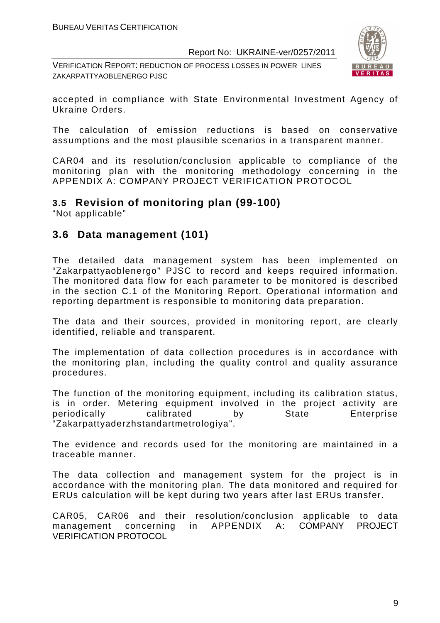VERIFICATION REPORT: REDUCTION OF PROCESS LOSSES IN POWER LINES ZAKARPATTYAOBLENERGO PJSC



accepted in compliance with State Environmental Investment Agency of Ukraine Orders.

The calculation of emission reductions is based on conservative assumptions and the most plausible scenarios in a transparent manner.

CAR04 and its resolution/conclusion applicable to compliance of the monitoring plan with the monitoring methodology concerning in the APPENDIX A: COMPANY PROJECT VERIFICATION PROTOCOL

#### **3.5 Revision of monitoring plan (99-100)**

"Not applicable"

#### **3.6 Data management (101)**

The detailed data management system has been implemented on "Zakarpattyaoblenergo" PJSC to record and keeps required information. The monitored data flow for each parameter to be monitored is described in the section C.1 of the Monitoring Report. Operational information and reporting department is responsible to monitoring data preparation.

The data and their sources, provided in monitoring report, are clearly identified, reliable and transparent.

The implementation of data collection procedures is in accordance with the monitoring plan, including the quality control and quality assurance procedures.

The function of the monitoring equipment, including its calibration status, is in order. Metering equipment involved in the project activity are periodically calibrated by State Enterprise "Zakarpattyaderzhstandartmetrologiya".

The evidence and records used for the monitoring are maintained in a traceable manner.

The data collection and management system for the project is in accordance with the monitoring plan. The data monitored and required for ERUs calculation will be kept during two years after last ERUs transfer.

CAR05, CAR06 and their resolution/conclusion applicable to data management concerning in APPENDIX A: COMPANY PROJECT VERIFICATION PROTOCOL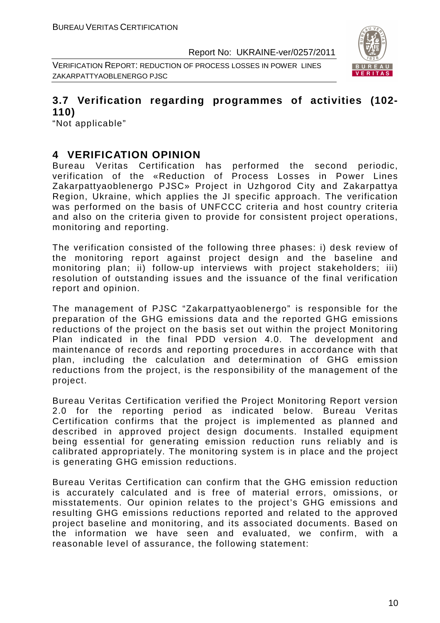VERIFICATION REPORT: REDUCTION OF PROCESS LOSSES IN POWER LINES ZAKARPATTYAOBLENERGO PJSC



#### **3.7 Verification regarding programmes of activities (102- 110)**

"Not applicable"

#### **4 VERIFICATION OPINION**

Bureau Veritas Certification has performed the second periodic, verification of the «Reduction of Process Losses in Power Lines Zakarpattyaoblenergo PJSC» Project in Uzhgorod City and Zakarpattya Region, Ukraine, which applies the JI specific approach. The verification was performed on the basis of UNFCCC criteria and host country criteria and also on the criteria given to provide for consistent project operations, monitoring and reporting.

The verification consisted of the following three phases: i) desk review of the monitoring report against project design and the baseline and monitoring plan; ii) follow-up interviews with project stakeholders; iii) resolution of outstanding issues and the issuance of the final verification report and opinion.

The management of PJSC "Zakarpattyaoblenergo" is responsible for the preparation of the GHG emissions data and the reported GHG emissions reductions of the project on the basis set out within the project Monitoring Plan indicated in the final PDD version 4.0. The development and maintenance of records and reporting procedures in accordance with that plan, including the calculation and determination of GHG emission reductions from the project, is the responsibility of the management of the project.

Bureau Veritas Certification verified the Project Monitoring Report version 2.0 for the reporting period as indicated below. Bureau Veritas Certification confirms that the project is implemented as planned and described in approved project design documents. Installed equipment being essential for generating emission reduction runs reliably and is calibrated appropriately. The monitoring system is in place and the project is generating GHG emission reductions.

Bureau Veritas Certification can confirm that the GHG emission reduction is accurately calculated and is free of material errors, omissions, or misstatements. Our opinion relates to the project's GHG emissions and resulting GHG emissions reductions reported and related to the approved project baseline and monitoring, and its associated documents. Based on the information we have seen and evaluated, we confirm, with a reasonable level of assurance, the following statement: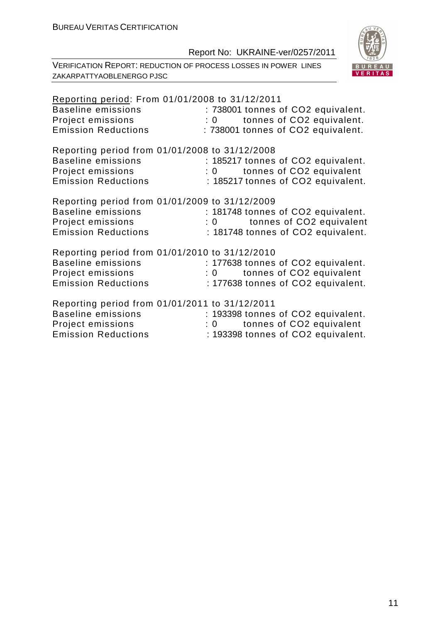

| Reporting period: From 01/01/2008 to 31/12/2011 |                                           |
|-------------------------------------------------|-------------------------------------------|
| <b>Baseline emissions</b>                       | : 738001 tonnes of CO2 equivalent.        |
| Project emissions                               | tonnes of CO2 equivalent.<br>$\mathbf{0}$ |
| <b>Emission Reductions</b>                      | : 738001 tonnes of CO2 equivalent.        |
|                                                 |                                           |
| Reporting period from 01/01/2008 to 31/12/2008  |                                           |
| <b>Baseline emissions</b>                       | : 185217 tonnes of CO2 equivalent.        |
| Project emissions                               | : 0 tonnes of CO2 equivalent              |
| <b>Emission Reductions</b>                      | : 185217 tonnes of CO2 equivalent.        |
| Reporting period from 01/01/2009 to 31/12/2009  |                                           |
| <b>Baseline emissions</b>                       |                                           |
|                                                 | : 181748 tonnes of CO2 equivalent.        |
| Project emissions                               | tonnes of CO2 equivalent<br>$\mathbf{0}$  |
| <b>Emission Reductions</b>                      | : 181748 tonnes of CO2 equivalent.        |
| Reporting period from 01/01/2010 to 31/12/2010  |                                           |
| <b>Baseline emissions</b>                       | : 177638 tonnes of CO2 equivalent.        |
| Project emissions                               | tonnes of CO2 equivalent<br>$\mathbf{0}$  |
| <b>Emission Reductions</b>                      | : 177638 tonnes of CO2 equivalent.        |
|                                                 |                                           |
| Reporting period from 01/01/2011 to 31/12/2011  |                                           |
| <b>Baseline emissions</b>                       | : 193398 tonnes of CO2 equivalent.        |
| Project emissions                               | : 0 tonnes of CO2 equivalent              |
| <b>Emission Reductions</b>                      | : 193398 tonnes of CO2 equivalent.        |
|                                                 |                                           |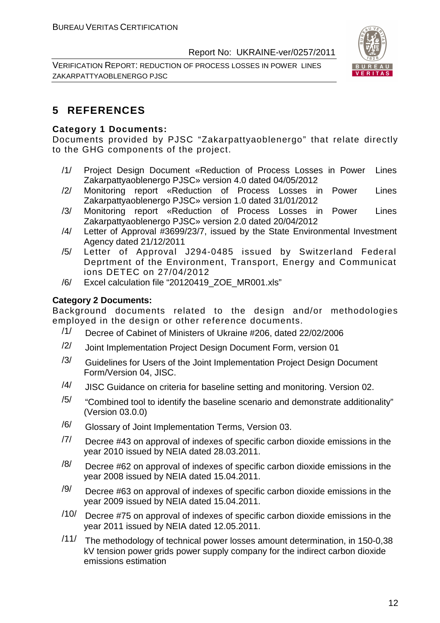VERIFICATION REPORT: REDUCTION OF PROCESS LOSSES IN POWER LINES ZAKARPATTYAOBLENERGO PJSC



#### **5 REFERENCES**

#### **Category 1 Documents:**

Documents provided by PJSC "Zakarpattyaoblenergo" that relate directly to the GHG components of the project.

- /1/ Project Design Document «Reduction of Process Losses in Power Lines Zakarpattyaoblenergo PJSC» version 4.0 dated 04/05/2012
- /2/ Monitoring report «Reduction of Process Losses in Power Lines Zakarpattyaoblenergo PJSC» version 1.0 dated 31/01/2012
- /3/ Monitoring report «Reduction of Process Losses in Power Lines Zakarpattyaoblenergo PJSC» version 2.0 dated 20/04/2012
- /4/ Letter of Approval #3699/23/7, issued by the State Environmental Investment Agency dated 21/12/2011
- /5/ Letter of Approval J294-0485 issued by Switzerland Federal Deprtment of the Environment, Transport, Energy and Communicat ions DETEC on 27/04/2012
- /6/ Excel calculation file "20120419\_ZOE\_MR001.xls"

#### **Category 2 Documents:**

Background documents related to the design and/or methodologies employed in the design or other reference documents.

- /1/ Decree of Cabinet of Ministers of Ukraine #206, dated 22/02/2006
- $/2$  Joint Implementation Project Design Document Form, version 01
- $/3/$  Guidelines for Users of the Joint Implementation Project Design Document Form/Version 04, JISC.
- $/4$  JISC Guidance on criteria for baseline setting and monitoring. Version 02.
- $/5/$  "Combined tool to identify the baseline scenario and demonstrate additionality" (Version 03.0.0)
- /6/ Glossary of Joint Implementation Terms, Version 03.
- $/7/$  Decree #43 on approval of indexes of specific carbon dioxide emissions in the year 2010 issued by NEIA dated 28.03.2011.
- $\frac{18}{10}$  Decree #62 on approval of indexes of specific carbon dioxide emissions in the year 2008 issued by NEIA dated 15.04.2011.
- $\frac{19}{10}$  Decree #63 on approval of indexes of specific carbon dioxide emissions in the year 2009 issued by NEIA dated 15.04.2011.
- $/10/$  Decree #75 on approval of indexes of specific carbon dioxide emissions in the year 2011 issued by NEIA dated 12.05.2011.
- /11/ The methodology of technical power losses amount determination, in 150-0,38 kV tension power grids power supply company for the indirect carbon dioxide emissions estimation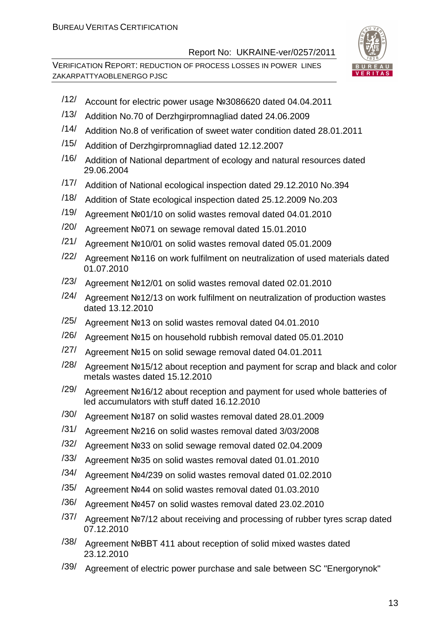

- /12/ Account for electric power usage №3086620 dated 04.04.2011
- /13/ Addition No.70 of Derzhgirpromnagliad dated 24.06.2009
- /14/ Addition No.8 of verification of sweet water condition dated 28.01.2011
- /15/ Addition of Derzhgirpromnagliad dated 12.12.2007
- /16/ Addition of National department of ecology and natural resources dated 29.06.2004
- /17/ Addition of National ecological inspection dated 29.12.2010 No.394
- /18/ Addition of State ecological inspection dated 25.12.2009 No.203
- /19/ Agreement №01/10 on solid wastes removal dated 04.01.2010
- /20/ Agreement №071 on sewage removal dated 15.01.2010
- /21/ Agreement №10/01 on solid wastes removal dated 05.01.2009
- /22/ Agreement №116 on work fulfilment on neutralization of used materials dated 01.07.2010
- /23/ Agreement №12/01 on solid wastes removal dated 02.01.2010
- /24/ Agreement №12/13 on work fulfilment on neutralization of production wastes dated 13.12.2010
- /25/ Agreement №13 on solid wastes removal dated 04.01.2010
- /26/ Agreement №15 on household rubbish removal dated 05.01.2010
- /27/ Agreement №15 on solid sewage removal dated 04.01.2011
- /28/ Agreement №15/12 about reception and payment for scrap and black and color metals wastes dated 15.12.2010
- /29/ Agreement №16/12 about reception and payment for used whole batteries of led accumulators with stuff dated 16.12.2010
- /30/ Agreement №187 on solid wastes removal dated 28.01.2009
- /31/ Agreement №216 on solid wastes removal dated 3/03/2008
- /32/ Agreement №33 on solid sewage removal dated 02.04.2009
- /33/ Agreement №35 on solid wastes removal dated 01.01.2010
- /34/ Agreement №4/239 on solid wastes removal dated 01.02.2010
- /35/ Agreement №44 on solid wastes removal dated 01.03.2010
- /36/ Agreement №457 on solid wastes removal dated 23.02.2010
- /37/ Agreement №7/12 about receiving and processing of rubber tyres scrap dated 07.12.2010
- /38/ Agreement №ВВТ 411 about reception of solid mixed wastes dated 23.12.2010
- /39/ Agreement of electric power purchase and sale between SC "Energorynok"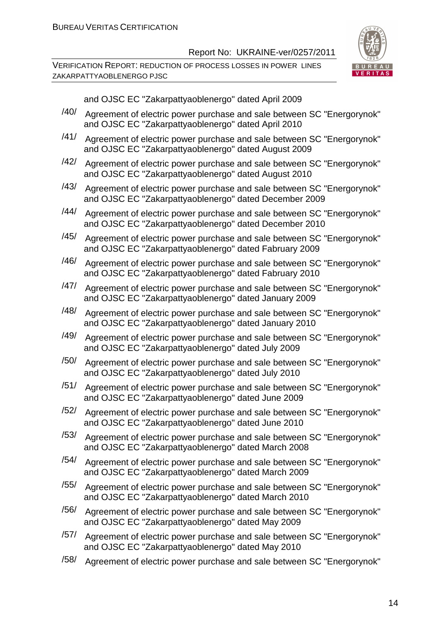VERIFICATION REPORT: REDUCTION OF PROCESS LOSSES IN POWER LINES ZAKARPATTYAOBLENERGO PJSC



|      | and OJSC EC "Zakarpattyaoblenergo" dated April 2009                                                                              |  |
|------|----------------------------------------------------------------------------------------------------------------------------------|--|
| /40/ | Agreement of electric power purchase and sale between SC "Energorynok"                                                           |  |
|      | and OJSC EC "Zakarpattyaoblenergo" dated April 2010                                                                              |  |
| /41/ | Agreement of electric power purchase and sale between SC "Energorynok"<br>and OJSC EC "Zakarpattyaoblenergo" dated August 2009   |  |
| /42/ | Agreement of electric power purchase and sale between SC "Energorynok"<br>and OJSC EC "Zakarpattyaoblenergo" dated August 2010   |  |
| /43/ | Agreement of electric power purchase and sale between SC "Energorynok"<br>and OJSC EC "Zakarpattyaoblenergo" dated December 2009 |  |
| /44/ | Agreement of electric power purchase and sale between SC "Energorynok"<br>and OJSC EC "Zakarpattyaoblenergo" dated December 2010 |  |
| /45/ | Agreement of electric power purchase and sale between SC "Energorynok"<br>and OJSC EC "Zakarpattyaoblenergo" dated Fabruary 2009 |  |
| /46/ | Agreement of electric power purchase and sale between SC "Energorynok"<br>and OJSC EC "Zakarpattyaoblenergo" dated Fabruary 2010 |  |
| /47/ | Agreement of electric power purchase and sale between SC "Energorynok"<br>and OJSC EC "Zakarpattyaoblenergo" dated January 2009  |  |
| /48/ | Agreement of electric power purchase and sale between SC "Energorynok"<br>and OJSC EC "Zakarpattyaoblenergo" dated January 2010  |  |
| /49/ | Agreement of electric power purchase and sale between SC "Energorynok"<br>and OJSC EC "Zakarpattyaoblenergo" dated July 2009     |  |
| /50/ | Agreement of electric power purchase and sale between SC "Energorynok"<br>and OJSC EC "Zakarpattyaoblenergo" dated July 2010     |  |
| /51/ | Agreement of electric power purchase and sale between SC "Energorynok"<br>and OJSC EC "Zakarpattyaoblenergo" dated June 2009     |  |
| /52/ | Agreement of electric power purchase and sale between SC "Energorynok"<br>and OJSC EC "Zakarpattyaoblenergo" dated June 2010     |  |
| /53/ | Agreement of electric power purchase and sale between SC "Energorynok"<br>and OJSC EC "Zakarpattyaoblenergo" dated March 2008    |  |
| /54/ | Agreement of electric power purchase and sale between SC "Energorynok"<br>and OJSC EC "Zakarpattyaoblenergo" dated March 2009    |  |
| /55/ | Agreement of electric power purchase and sale between SC "Energorynok"<br>and OJSC EC "Zakarpattyaoblenergo" dated March 2010    |  |
| /56/ | Agreement of electric power purchase and sale between SC "Energorynok"<br>and OJSC EC "Zakarpattyaoblenergo" dated May 2009      |  |
| /57/ | Agreement of electric power purchase and sale between SC "Energorynok"<br>and OJSC EC "Zakarpattyaoblenergo" dated May 2010      |  |
|      |                                                                                                                                  |  |

/58/ Agreement of electric power purchase and sale between SC "Energorynok"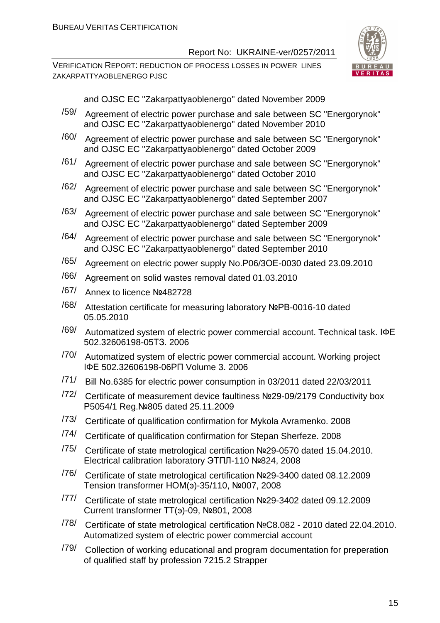

|      | and OJSC EC "Zakarpattyaoblenergo" dated November 2009                                                                                       |
|------|----------------------------------------------------------------------------------------------------------------------------------------------|
| /59/ | Agreement of electric power purchase and sale between SC "Energorynok"<br>and OJSC EC "Zakarpattyaoblenergo" dated November 2010             |
| /60/ | Agreement of electric power purchase and sale between SC "Energorynok"<br>and OJSC EC "Zakarpattyaoblenergo" dated October 2009              |
| /61/ | Agreement of electric power purchase and sale between SC "Energorynok"<br>and OJSC EC "Zakarpattyaoblenergo" dated October 2010              |
| /62/ | Agreement of electric power purchase and sale between SC "Energorynok"<br>and OJSC EC "Zakarpattyaoblenergo" dated September 2007            |
| /63/ | Agreement of electric power purchase and sale between SC "Energorynok"<br>and OJSC EC "Zakarpattyaoblenergo" dated September 2009            |
| /64/ | Agreement of electric power purchase and sale between SC "Energorynok"<br>and OJSC EC "Zakarpattyaoblenergo" dated September 2010            |
| /65/ | Agreement on electric power supply No.P06/3OE-0030 dated 23.09.2010                                                                          |
| /66/ | Agreement on solid wastes removal dated 01.03.2010                                                                                           |
| /67/ | Annex to licence Nº482728                                                                                                                    |
| /68/ | Attestation certificate for measuring laboratory NºPB-0016-10 dated<br>05.05.2010                                                            |
| /69/ | Automatized system of electric power commercial account. Technical task. IOE<br>502.32606198-05T3.2006                                       |
| /70/ | Automatized system of electric power commercial account. Working project<br>IФE 502.32606198-06PN Volume 3. 2006                             |
| /71/ | Bill No.6385 for electric power consumption in 03/2011 dated 22/03/2011                                                                      |
| /72/ | Certificate of measurement device faultiness Nº29-09/2179 Conductivity box<br>P5054/1 Reg. Nº805 dated 25.11.2009                            |
| /73/ | Certificate of qualification confirmation for Mykola Avramenko. 2008                                                                         |
| /74/ | Certificate of qualification confirmation for Stepan Sherfeze. 2008                                                                          |
| /75/ | Certificate of state metrological certification Nº29-0570 dated 15.04.2010.<br>Electrical calibration laboratory ЭТПЛ-110 №824, 2008         |
| /76/ | Certificate of state metrological certification Nº29-3400 dated 08.12.2009<br>Tension transformer HOM(3)-35/110, Nº007, 2008                 |
| /77/ | Certificate of state metrological certification Nº29-3402 dated 09.12.2009<br>Current transformer TT(3)-09, Nº801, 2008                      |
| /78/ | Certificate of state metrological certification NºC8.082 - 2010 dated 22.04.2010.<br>Automatized system of electric power commercial account |
| /79/ | Collection of working educational and program documentation for preperation<br>of qualified staff by profession 7215.2 Strapper              |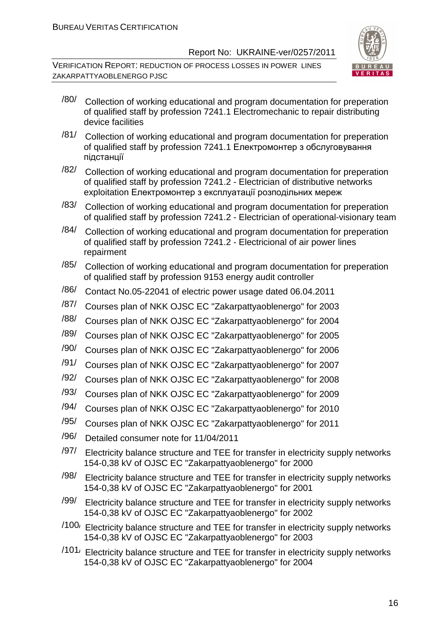

- $\frac{180}{180}$  Collection of working educational and program documentation for preperation of qualified staff by profession 7241.1 Electromechanic to repair distributing device facilities
- /81/ Collection of working educational and program documentation for preperation of qualified staff by profession 7241.1 Електромонтер з обслуговування підстанції
- /82/ Collection of working educational and program documentation for preperation of qualified staff by profession 7241.2 - Electrician of distributive networks exploitation Електромонтер з експлуатації розподільних мереж
- /83/ Collection of working educational and program documentation for preperation of qualified staff by profession 7241.2 - Electrician of operational-visionary team
- $\frac{184}{}$  Collection of working educational and program documentation for preperation of qualified staff by profession 7241.2 - Electricional of air power lines repairment
- $\frac{185}{185}$  Collection of working educational and program documentation for preperation of qualified staff by profession 9153 energy audit controller
- /86/ Contact No.05-22041 of electric power usage dated 06.04.2011
- /87/ Courses plan of NKK OJSC EC "Zakarpattyaoblenergo" for 2003
- /88/ Courses plan of NKK OJSC EC "Zakarpattyaoblenergo" for 2004
- /89/ Courses plan of NKK OJSC EC "Zakarpattyaoblenergo" for 2005
- /90/ Courses plan of NKK OJSC EC "Zakarpattyaoblenergo" for 2006
- /91/ Courses plan of NKK OJSC EC "Zakarpattyaoblenergo" for 2007
- /92/ Courses plan of NKK OJSC EC "Zakarpattyaoblenergo" for 2008
- /93/ Courses plan of NKK OJSC EC "Zakarpattyaoblenergo" for 2009
- /94/ Courses plan of NKK OJSC EC "Zakarpattyaoblenergo" for 2010
- /95/ Courses plan of NKK OJSC EC "Zakarpattyaoblenergo" for 2011
- /96/ Detailed consumer note for 11/04/2011
- $\frac{197}{197}$  Electricity balance structure and TEE for transfer in electricity supply networks 154-0,38 kV of OJSC EC "Zakarpattyaoblenergo" for 2000
- $\frac{198}{198}$  Electricity balance structure and TEE for transfer in electricity supply networks 154-0,38 kV of OJSC EC "Zakarpattyaoblenergo" for 2001
- $\frac{199}{199}$  Electricity balance structure and TEE for transfer in electricity supply networks 154-0,38 kV of OJSC EC "Zakarpattyaoblenergo" for 2002
- $/100$  Electricity balance structure and TEE for transfer in electricity supply networks 154-0,38 kV of OJSC EC "Zakarpattyaoblenergo" for 2003
- $/101$ / Electricity balance structure and TEE for transfer in electricity supply networks 154-0,38 kV of OJSC EC "Zakarpattyaoblenergo" for 2004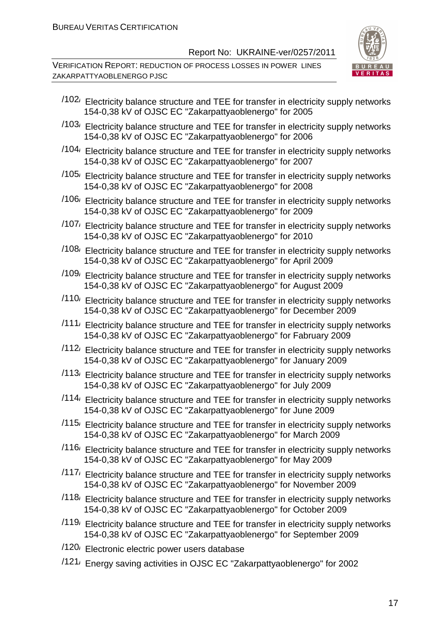

- $/102$  Electricity balance structure and TEE for transfer in electricity supply networks 154-0,38 kV of OJSC EC "Zakarpattyaoblenergo" for 2005
- /103/ Electricity balance structure and TEE for transfer in electricity supply networks 154-0,38 kV of OJSC EC "Zakarpattyaoblenergo" for 2006
- $/104$ / Electricity balance structure and TEE for transfer in electricity supply networks 154-0,38 kV of OJSC EC "Zakarpattyaoblenergo" for 2007
- $/105$  Electricity balance structure and TEE for transfer in electricity supply networks 154-0,38 kV of OJSC EC "Zakarpattyaoblenergo" for 2008
- /106/ Electricity balance structure and TEE for transfer in electricity supply networks 154-0,38 kV of OJSC EC "Zakarpattyaoblenergo" for 2009
- /107/ Electricity balance structure and TEE for transfer in electricity supply networks 154-0,38 kV of OJSC EC "Zakarpattyaoblenergo" for 2010
- $/108$  Electricity balance structure and TEE for transfer in electricity supply networks 154-0,38 kV of OJSC EC "Zakarpattyaoblenergo" for April 2009
- $/109$  Electricity balance structure and TEE for transfer in electricity supply networks 154-0,38 kV of OJSC EC "Zakarpattyaoblenergo" for August 2009
- /110/ Electricity balance structure and TEE for transfer in electricity supply networks 154-0,38 kV of OJSC EC "Zakarpattyaoblenergo" for December 2009
- $/111$ <sup>,</sup> Electricity balance structure and TEE for transfer in electricity supply networks 154-0,38 kV of OJSC EC "Zakarpattyaoblenergo" for Fabruary 2009
- $/112$  Electricity balance structure and TEE for transfer in electricity supply networks 154-0,38 kV of OJSC EC "Zakarpattyaoblenergo" for January 2009
- $/113$  Electricity balance structure and TEE for transfer in electricity supply networks 154-0,38 kV of OJSC EC "Zakarpattyaoblenergo" for July 2009
- $/114$ / Electricity balance structure and TEE for transfer in electricity supply networks 154-0,38 kV of OJSC EC "Zakarpattyaoblenergo" for June 2009
- $/115$ / Electricity balance structure and TEE for transfer in electricity supply networks 154-0,38 kV of OJSC EC "Zakarpattyaoblenergo" for March 2009
- $/116$  Electricity balance structure and TEE for transfer in electricity supply networks 154-0,38 kV of OJSC EC "Zakarpattyaoblenergo" for May 2009
- $/117$ / Electricity balance structure and TEE for transfer in electricity supply networks 154-0,38 kV of OJSC EC "Zakarpattyaoblenergo" for November 2009
- $/118$  Electricity balance structure and TEE for transfer in electricity supply networks 154-0,38 kV of OJSC EC "Zakarpattyaoblenergo" for October 2009
- /119/ Electricity balance structure and TEE for transfer in electricity supply networks 154-0,38 kV of OJSC EC "Zakarpattyaoblenergo" for September 2009
- /120/ Electronic electric power users database
- /121/ Energy saving activities in OJSC EC "Zakarpattyaoblenergo" for 2002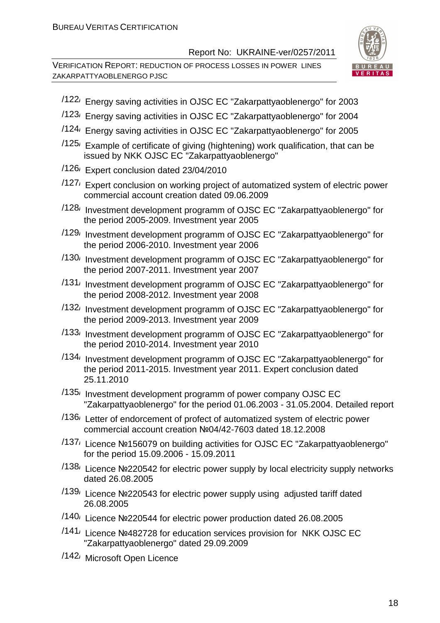

- /122/ Energy saving activities in OJSC EC "Zakarpattyaoblenergo" for 2003
- /123/ Energy saving activities in OJSC EC "Zakarpattyaoblenergo" for 2004
- /124/ Energy saving activities in OJSC EC "Zakarpattyaoblenergo" for 2005
- $/125$ / Example of certificate of giving (hightening) work qualification, that can be issued by NKK OJSC EC "Zakarpattyaoblenergo"
- /126/ Expert conclusion dated 23/04/2010
- /127/ Expert conclusion on working project of automatized system of electric power commercial account creation dated 09.06.2009
- /128/ Investment development programm of OJSC EC "Zakarpattyaoblenergo" for the period 2005-2009. Investment year 2005
- /129/ Investment development programm of OJSC EC "Zakarpattyaoblenergo" for the period 2006-2010. Investment year 2006
- /130/ Investment development programm of OJSC EC "Zakarpattyaoblenergo" for the period 2007-2011. Investment year 2007
- /131/ Investment development programm of OJSC EC "Zakarpattyaoblenergo" for the period 2008-2012. Investment year 2008
- /132/ Investment development programm of OJSC EC "Zakarpattyaoblenergo" for the period 2009-2013. Investment year 2009
- /133/ Investment development programm of OJSC EC "Zakarpattyaoblenergo" for the period 2010-2014. Investment year 2010
- /134/ Investment development programm of OJSC EC "Zakarpattyaoblenergo" for the period 2011-2015. Investment year 2011. Expert conclusion dated 25.11.2010
- $/135$ / Investment development programm of power company OJSC EC "Zakarpattyaoblenergo" for the period 01.06.2003 - 31.05.2004. Detailed report
- /136/ Letter of endorcement of profect of automatized system of electric power commercial account creation №04/42-7603 dated 18.12.2008
- /137/ Licence №156079 on building activities for OJSC EC "Zakarpattyaoblenergo" for the period 15.09.2006 - 15.09.2011
- /138/ Licence №220542 for electric power supply by local electricity supply networks dated 26.08.2005
- /139/ Licence №220543 for electric power supply using adjusted tariff dated 26.08.2005
- /140/ Licence №220544 for electric power production dated 26.08.2005
- /141/ Licence №482728 for education services provision for NKK OJSC EC "Zakarpattyaoblenergo" dated 29.09.2009
- /142/ Microsoft Open Licence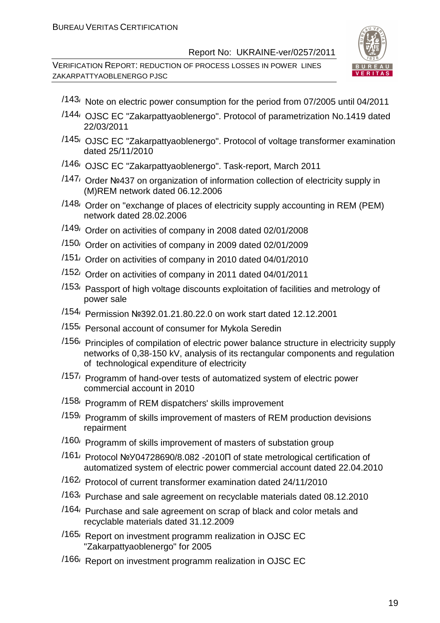

- /143/ Note on electric power consumption for the period from 07/2005 until 04/2011
- /144/ OJSC EC "Zakarpattyaoblenergo". Protocol of parametrization No.1419 dated 22/03/2011
- /145/ OJSC EC "Zakarpattyaoblenergo". Protocol of voltage transformer examination dated 25/11/2010
- /146/ OJSC EC "Zakarpattyaoblenergo". Task-report, March 2011
- /147/ Order №437 on organization of information collection of electricity supply in (M)REM network dated 06.12.2006
- /148/ Order on "exchange of places of electricity supply accounting in REM (PEM) network dated 28.02.2006
- /149/ Order on activities of company in 2008 dated 02/01/2008
- /150/ Order on activities of company in 2009 dated 02/01/2009
- /151/ Order on activities of company in 2010 dated 04/01/2010
- /152/ Order on activities of company in 2011 dated 04/01/2011
- /153/ Passport of high voltage discounts exploitation of facilities and metrology of power sale
- /154/ Permission №392.01.21.80.22.0 on work start dated 12.12.2001
- /155/ Personal account of consumer for Mykola Seredin
- /156/ Principles of compilation of electric power balance structure in electricity supply networks of 0,38-150 kV, analysis of its rectangular components and regulation of technological expenditure of electricity
- /157/ Programm of hand-over tests of automatized system of electric power commercial account in 2010
- /158/ Programm of REM dispatchers' skills improvement
- /159/ Programm of skills improvement of masters of REM production devisions repairment
- /160/ Programm of skills improvement of masters of substation group
- /161/ Protocol №У04728690/8.082 -2010П of state metrological certification of automatized system of electric power commercial account dated 22.04.2010
- /162/ Protocol of current transformer examination dated 24/11/2010
- /163/ Purchase and sale agreement on recyclable materials dated 08.12.2010
- /164/ Purchase and sale agreement on scrap of black and color metals and recyclable materials dated 31.12.2009
- /165/ Report on investment programm realization in OJSC EC "Zakarpattyaoblenergo" for 2005
- /166/ Report on investment programm realization in OJSC EC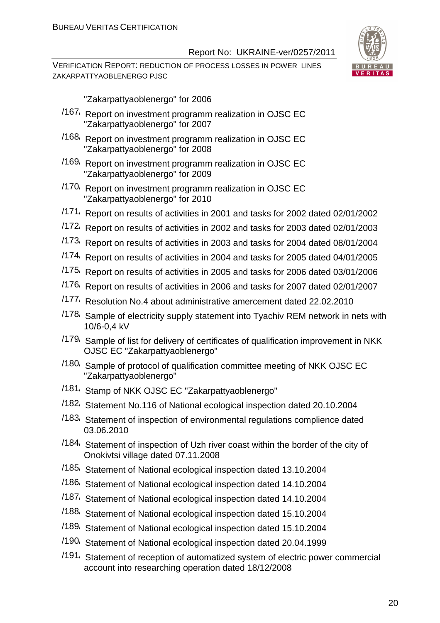VERIFICATION REPORT: REDUCTION OF PROCESS LOSSES IN POWER LINES ZAKARPATTYAOBLENERGO PJSC



"Zakarpattyaoblenergo" for 2006

- /167/ Report on investment programm realization in OJSC EC "Zakarpattyaoblenergo" for 2007
- /168/ Report on investment programm realization in OJSC EC "Zakarpattyaoblenergo" for 2008
- /169/ Report on investment programm realization in OJSC EC "Zakarpattyaoblenergo" for 2009
- /170/ Report on investment programm realization in OJSC EC "Zakarpattyaoblenergo" for 2010
- /171/ Report on results of activities in 2001 and tasks for 2002 dated 02/01/2002
- /172/ Report on results of activities in 2002 and tasks for 2003 dated 02/01/2003
- /173/ Report on results of activities in 2003 and tasks for 2004 dated 08/01/2004
- /174/ Report on results of activities in 2004 and tasks for 2005 dated 04/01/2005
- /175/ Report on results of activities in 2005 and tasks for 2006 dated 03/01/2006
- /176/ Report on results of activities in 2006 and tasks for 2007 dated 02/01/2007
- /177/ Resolution No.4 about administrative amercement dated 22.02.2010
- /178/ Sample of electricity supply statement into Tyachiv REM network in nets with 10/6-0,4 kV
- /179/ Sample of list for delivery of certificates of qualification improvement in NKK OJSC EC "Zakarpattyaoblenergo"
- /180/ Sample of protocol of qualification committee meeting of NKK OJSC EC "Zakarpattyaoblenergo"
- /181/ Stamp of NKK OJSC EC "Zakarpattyaoblenergo"
- /182/ Statement No.116 of National ecological inspection dated 20.10.2004
- /183/ Statement of inspection of environmental regulations complience dated 03.06.2010
- /184/ Statement of inspection of Uzh river coast within the border of the city of Onokivtsi village dated 07.11.2008
- /185/ Statement of National ecological inspection dated 13.10.2004
- /186/ Statement of National ecological inspection dated 14.10.2004
- /187/ Statement of National ecological inspection dated 14.10.2004
- /188/ Statement of National ecological inspection dated 15.10.2004
- /189/ Statement of National ecological inspection dated 15.10.2004
- /190/ Statement of National ecological inspection dated 20.04.1999
- /191/ Statement of reception of automatized system of electric power commercial account into researching operation dated 18/12/2008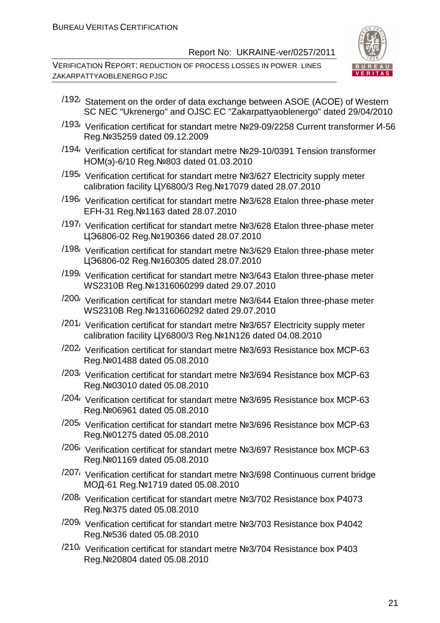

- $/192$  Statement on the order of data exchange between ASOE (ACOE) of Western SC NEC "Ukrenergo" and OJSC EC "Zakarpattyaoblenergo" dated 29/04/2010
- /193/ Verification certificat for standart metre №29-09/2258 Current transformer И-56 Reg.№35259 dated 09.12.2009
- /194/ Verification certificat for standart metre №29-10/0391 Tension transformer НОМ(э)-6/10 Reg.№803 dated 01.03.2010
- /195/ Verification certificat for standart metre №3/627 Electricity supply meter calibration facility ЦУ6800/3 Reg.№17079 dated 28.07.2010
- /196/ Verification certificat for standart metre №3/628 Etalon three-phase meter EFH-31 Reg.№1163 dated 28.07.2010
- /197/ Verification certificat for standart metre №3/628 Etalon three-phase meter ЦЭ6806-02 Reg.№190366 dated 28.07.2010
- /198/ Verification certificat for standart metre №3/629 Etalon three-phase meter ЦЭ6806-02 Reg.№160305 dated 28.07.2010
- /199/ Verification certificat for standart metre №3/643 Etalon three-phase meter WS2310B Reg.№1316060299 dated 29.07.2010
- /200/ Verification certificat for standart metre №3/644 Etalon three-phase meter WS2310B Reg.№1316060292 dated 29.07.2010
- /201/ Verification certificat for standart metre №3/657 Electricity supply meter calibration facility ЦУ6800/3 Reg.№1N126 dated 04.08.2010
- /202/ Verification certificat for standart metre №3/693 Resistance box МСР-63 Reg.№01488 dated 05.08.2010
- /203/ Verification certificat for standart metre №3/694 Resistance box МСР-63 Reg.№03010 dated 05.08.2010
- /204/ Verification certificat for standart metre №3/695 Resistance box МСР-63 Reg.№06961 dated 05.08.2010
- /205/ Verification certificat for standart metre №3/696 Resistance box МСР-63 Reg.№01275 dated 05.08.2010
- /206/ Verification certificat for standart metre №3/697 Resistance box МСР-63 Reg.№01169 dated 05.08.2010
- /207/ Verification certificat for standart metre №3/698 Continuous current bridge МОД-61 Reg.№1719 dated 05.08.2010
- /208/ Verification certificat for standart metre №3/702 Resistance box Р4073 Reg.№375 dated 05.08.2010
- /209/ Verification certificat for standart metre №3/703 Resistance box Р4042 Reg.№536 dated 05.08.2010
- /210/ Verification certificat for standart metre №3/704 Resistance box Р403 Reg.№20804 dated 05.08.2010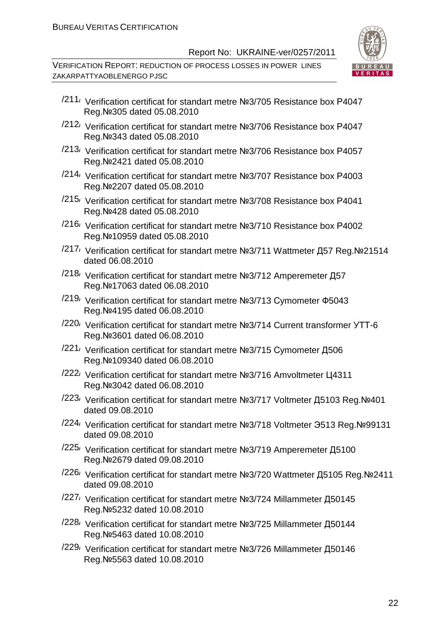

- /211/ Verification certificat for standart metre №3/705 Resistance box Р4047 Reg.№305 dated 05.08.2010
- /212/ Verification certificat for standart metre №3/706 Resistance box Р4047 Reg.№343 dated 05.08.2010
- /213/ Verification certificat for standart metre №3/706 Resistance box Р4057 Reg.№2421 dated 05.08.2010
- /214/ Verification certificat for standart metre №3/707 Resistance box Р4003 Reg.№2207 dated 05.08.2010
- /215/ Verification certificat for standart metre №3/708 Resistance box Р4041 Reg.№428 dated 05.08.2010
- /216/ Verification certificat for standart metre №3/710 Resistance box Р4002 Reg.№10959 dated 05.08.2010
- /217/ Verification certificat for standart metre №3/711 Wattmeter Д57 Reg.№21514 dated 06.08.2010
- /218/ Verification certificat for standart metre №3/712 Amperemeter Д57 Reg.№17063 dated 06.08.2010
- /219/ Verification certificat for standart metre №3/713 Сymometer Ф5043 Reg.№4195 dated 06.08.2010
- /220/ Verification certificat for standart metre №3/714 Current transformer УТТ-6 Reg.№3601 dated 06.08.2010
- /221/ Verification certificat for standart metre №3/715 Сymometer Д506 Reg.№109340 dated 06.08.2010
- /222/ Verification certificat for standart metre №3/716 Amvoltmeter Ц4311 Reg.№3042 dated 06.08.2010
- /223/ Verification certificat for standart metre №3/717 Voltmeter Д5103 Reg.№401 dated 09.08.2010
- /224/ Verification certificat for standart metre №3/718 Voltmeter Э513 Reg.№99131 dated 09.08.2010
- /225/ Verification certificat for standart metre №3/719 Amperemeter Д5100 Reg.№2679 dated 09.08.2010
- /226/ Verification certificat for standart metre №3/720 Wattmeter Д5105 Reg.№2411 dated 09.08.2010
- /227/ Verification certificat for standart metre №3/724 Millammeter Д50145 Reg.№5232 dated 10.08.2010
- /228/ Verification certificat for standart metre №3/725 Millammeter Д50144 Reg.№5463 dated 10.08.2010
- /229/ Verification certificat for standart metre №3/726 Millammeter Д50146 Reg.№5563 dated 10.08.2010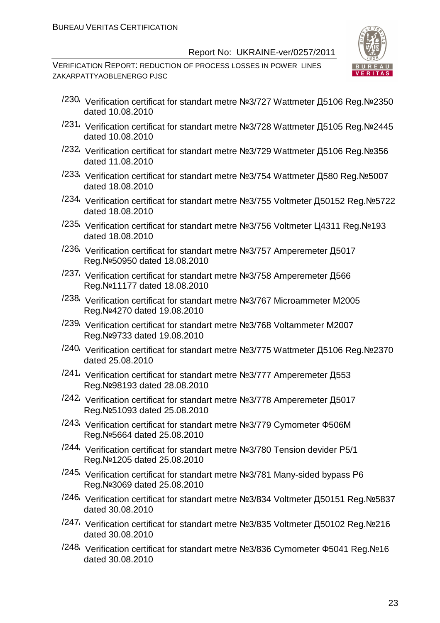

- /230/ Verification certificat for standart metre №3/727 Wattmeter Д5106 Reg.№2350 dated 10.08.2010
- /231/ Verification certificat for standart metre №3/728 Wattmeter Д5105 Reg.№2445 dated 10.08.2010
- /232/ Verification certificat for standart metre №3/729 Wattmeter Д5106 Reg.№356 dated 11.08.2010
- /233/ Verification certificat for standart metre №3/754 Wattmeter Д580 Reg.№5007 dated 18.08.2010
- /234/ Verification certificat for standart metre №3/755 Voltmeter Д50152 Reg.№5722 dated 18.08.2010
- /235/ Verification certificat for standart metre №3/756 Voltmeter Ц4311 Reg.№193 dated 18.08.2010
- /236/ Verification certificat for standart metre №3/757 Amperemeter Д5017 Reg.№50950 dated 18.08.2010
- /237/ Verification certificat for standart metre №3/758 Amperemeter Д566 Reg.№11177 dated 18.08.2010
- /238/ Verification certificat for standart metre №3/767 Microammeter М2005 Reg.№4270 dated 19.08.2010
- /239/ Verification certificat for standart metre №3/768 Voltammeter М2007 Reg.№9733 dated 19.08.2010
- /240/ Verification certificat for standart metre №3/775 Wattmeter Д5106 Reg.№2370 dated 25.08.2010
- /241/ Verification certificat for standart metre №3/777 Amperemeter Д553 Reg.№98193 dated 28.08.2010
- /242/ Verification certificat for standart metre №3/778 Amperemeter Д5017 Reg.№51093 dated 25.08.2010
- /243/ Verification certificat for standart metre №3/779 Сymometer Ф506М Reg.№5664 dated 25.08.2010
- /244/ Verification certificat for standart metre №3/780 Tension devider Р5/1 Reg.№1205 dated 25.08.2010
- /245/ Verification certificat for standart metre №3/781 Many-sided bypass Р6 Reg.№3069 dated 25.08.2010
- /246/ Verification certificat for standart metre №3/834 Voltmeter Д50151 Reg.№5837 dated 30.08.2010
- /247/ Verification certificat for standart metre №3/835 Voltmeter Д50102 Reg.№216 dated 30.08.2010
- /248/ Verification certificat for standart metre №3/836 Cymometer Ф5041 Reg.№16 dated 30.08.2010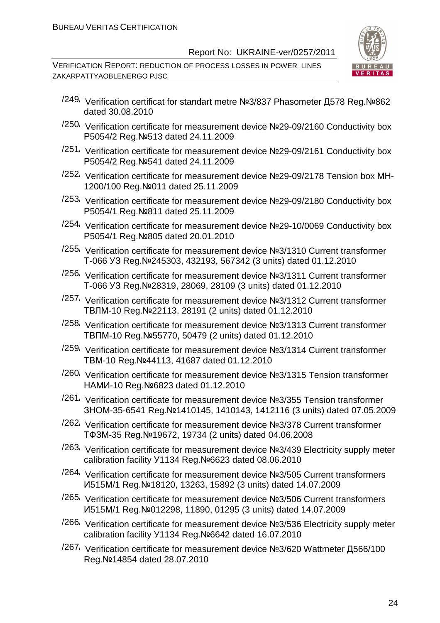

- /249/ Verification certificat for standart metre №3/837 Phasometer Д578 Reg.№862 dated 30.08.2010
- /250/ Verification certificate for measurement device №29-09/2160 Conductivity box Р5054/2 Reg.№513 dated 24.11.2009
- $/251/$  Verification certificate for measurement device Nº29-09/2161 Conductivity box Р5054/2 Reg.№541 dated 24.11.2009
- /252/ Verification certificate for measurement device №29-09/2178 Tension box МН-1200/100 Reg.№011 dated 25.11.2009
- /253/ Verification certificate for measurement device №29-09/2180 Conductivity box Р5054/1 Reg.№811 dated 25.11.2009
- $/254$ / Verification certificate for measurement device Nº29-10/0069 Conductivity box Р5054/1 Reg.№805 dated 20.01.2010
- /255/ Verification certificate for measurement device №3/1310 Current transformer Т-066 УЗ Reg.№245303, 432193, 567342 (3 units) dated 01.12.2010
- /256/ Verification certificate for measurement device №3/1311 Current transformer Т-066 УЗ Reg.№28319, 28069, 28109 (3 units) dated 01.12.2010
- /257/ Verification certificate for measurement device №3/1312 Current transformer ТВЛМ-10 Reg.№22113, 28191 (2 units) dated 01.12.2010
- /258/ Verification certificate for measurement device №3/1313 Current transformer ТВПМ-10 Reg.№55770, 50479 (2 units) dated 01.12.2010
- /259/ Verification certificate for measurement device №3/1314 Current transformer ТВМ-10 Reg.№44113, 41687 dated 01.12.2010
- /260/ Verification certificate for measurement device №3/1315 Tension transformer НАМИ-10 Reg.№6823 dated 01.12.2010
- /261/ Verification certificate for measurement device №3/355 Tension transformer ЗНОМ-35-6541 Reg.№1410145, 1410143, 1412116 (3 units) dated 07.05.2009
- /262/ Verification certificate for measurement device №3/378 Current transformer ТФЗМ-35 Reg.№19672, 19734 (2 units) dated 04.06.2008
- /263/ Verification certificate for measurement device №3/439 Electricity supply meter calibration facility У1134 Reg.№6623 dated 08.06.2010
- /264/ Verification certificate for measurement device №3/505 Current transformers И515М/1 Reg.№18120, 13263, 15892 (3 units) dated 14.07.2009
- /265/ Verification certificate for measurement device №3/506 Current transformers И515М/1 Reg.№012298, 11890, 01295 (3 units) dated 14.07.2009
- /266/ Verification certificate for measurement device №3/536 Electricity supply meter calibration facility У1134 Reg.№6642 dated 16.07.2010
- /267/ Verification certificate for measurement device №3/620 Wattmeter Д566/100 Reg.№14854 dated 28.07.2010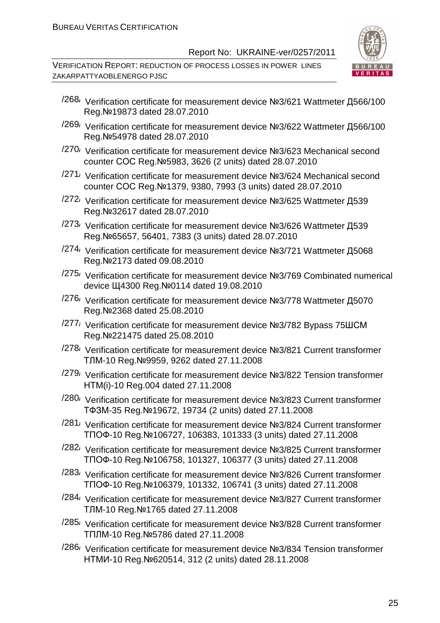

- /268/ Verification certificate for measurement device №3/621 Wattmeter Д566/100 Reg.№19873 dated 28.07.2010
- /269/ Verification certificate for measurement device №3/622 Wattmeter Д566/100 Reg.№54978 dated 28.07.2010
- /270/ Verification certificate for measurement device №3/623 Mechanical second counter СОС Reg.№5983, 3626 (2 units) dated 28.07.2010
- /271/ Verification certificate for measurement device №3/624 Mechanical second counter СОС Reg.№1379, 9380, 7993 (3 units) dated 28.07.2010
- /272/ Verification certificate for measurement device №3/625 Wattmeter Д539 Reg.№32617 dated 28.07.2010
- /273/ Verification certificate for measurement device №3/626 Wattmeter Д539 Reg.№65657, 56401, 7383 (3 units) dated 28.07.2010
- <sup>/274</sup>/ Verification certificate for measurement device №3/721 Wattmeter Д5068 Reg.№2173 dated 09.08.2010
- /275/ Verification certificate for measurement device №3/769 Combinated numerical device Щ4300 Reg.№0114 dated 19.08.2010
- /276/ Verification certificate for measurement device №3/778 Wattmeter Д5070 Reg.№2368 dated 25.08.2010
- /277/ Verification certificate for measurement device №3/782 Bypass 75ШСМ Reg.№221475 dated 25.08.2010
- /278/ Verification certificate for measurement device №3/821 Current transformer ТЛМ-10 Reg.№9959, 9262 dated 27.11.2008
- /279/ Verification certificate for measurement device №3/822 Tension transformer НТМ(і)-10 Reg.004 dated 27.11.2008
- /280/ Verification certificate for measurement device №3/823 Current transformer ТФЗМ-35 Reg.№19672, 19734 (2 units) dated 27.11.2008
- /281/ Verification certificate for measurement device №3/824 Current transformer ТПОФ-10 Reg.№106727, 106383, 101333 (3 units) dated 27.11.2008
- /282/ Verification certificate for measurement device №3/825 Current transformer ТПОФ-10 Reg.№106758, 101327, 106377 (3 units) dated 27.11.2008
- /283/ Verification certificate for measurement device №3/826 Current transformer ТПОФ-10 Reg.№106379, 101332, 106741 (3 units) dated 27.11.2008
- /284/ Verification certificate for measurement device №3/827 Current transformer ТЛМ-10 Reg.№1765 dated 27.11.2008
- /285/ Verification certificate for measurement device №3/828 Current transformer ТПЛМ-10 Reg.№5786 dated 27.11.2008
- /286/ Verification certificate for measurement device №3/834 Tension transformer НТМИ-10 Reg.№620514, 312 (2 units) dated 28.11.2008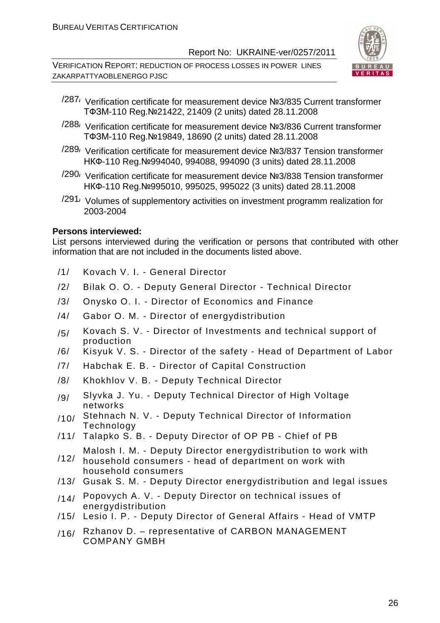VERIFICATION REPORT: REDUCTION OF PROCESS LOSSES IN POWER LINES ZAKARPATTYAOBLENERGO PJSC



- /287/ Verification certificate for measurement device №3/835 Current transformer ТФЗМ-110 Reg.№21422, 21409 (2 units) dated 28.11.2008
- /288/ Verification certificate for measurement device №3/836 Current transformer ТФЗМ-110 Reg.№19849, 18690 (2 units) dated 28.11.2008
- /289/ Verification certificate for measurement device №3/837 Tension transformer НКФ-110 Reg.№994040, 994088, 994090 (3 units) dated 28.11.2008
- /290/ Verification certificate for measurement device №3/838 Tension transformer НКФ-110 Reg.№995010, 995025, 995022 (3 units) dated 28.11.2008
- $/291/$  Volumes of supplementory activities on investment programm realization for 2003-2004

#### **Persons interviewed:**

List persons interviewed during the verification or persons that contributed with other information that are not included in the documents listed above.

- /1/ Kovach V. I. General Director
- /2/ Bilak O. O. Deputy General Director Technical Director
- /3/ Onysko O. I. Director of Economics and Finance
- /4/ Gabor O. M. Director of energydistribution
- $/5/$  Kovach S. V. Director of Investments and technical support of production
- /6/ Kisyuk V. S. Director of the safety Head of Department of Labor
- /7/ Habchak E. B. Director of Capital Construction
- /8/ Khokhlov V. B. Deputy Technical Director
- /9/ Slyvka J. Yu. Deputy Technical Director of High Voltage networks
- $/10/$  Stehnach N. V. Deputy Technical Director of Information Technology
- /11/ Talapko S. B. Deputy Director of OP PB Chief of PB
- Malosh I. M. Deputy Director energydistribution to work with
- /12/ household consumers - head of department on work with household consumers
- /13/ Gusak S. M. Deputy Director energydistribution and legal issues
- $/14/$  Popovych A. V. Deputy Director on technical issues of energydistribution
- /15/ Lesio I. P. Deputy Director of General Affairs Head of VMTP
- /16/ Rzhanov D. representative of CARBON MANAGEMENT COMPANY GMBH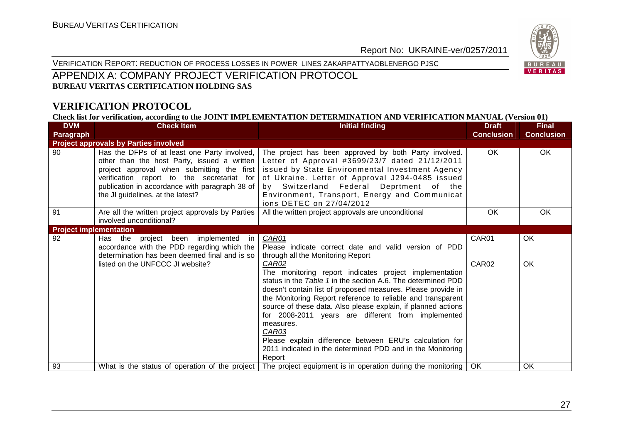VERIFICATION REPORT: REDUCTION OF PROCESS LOSSES IN POWER LINES ZAKARPATTYAOBLENERGO PJSC



#### APPENDIX A: COMPANY PROJECT VERIFICATION PROTOCOL **BUREAU VERITAS CERTIFICATION HOLDING SAS**

#### **VERIFICATION PROTOCOL**

**Check list for verification, according to the JOINT IMPLEMENTATION DETERMINATION AND VERIFICATION MANUAL (Version 01)** 

| <b>DVM</b>                    | <b>Check Item</b>                                                                                                                                                                                                                                                                | <b>Initial finding</b>                                                                                                                                                                                                                                                                                                                                                                                                                                                                                                                                                                                                                                | <b>Draft</b>      | <b>Final</b>      |
|-------------------------------|----------------------------------------------------------------------------------------------------------------------------------------------------------------------------------------------------------------------------------------------------------------------------------|-------------------------------------------------------------------------------------------------------------------------------------------------------------------------------------------------------------------------------------------------------------------------------------------------------------------------------------------------------------------------------------------------------------------------------------------------------------------------------------------------------------------------------------------------------------------------------------------------------------------------------------------------------|-------------------|-------------------|
| Paragraph                     |                                                                                                                                                                                                                                                                                  |                                                                                                                                                                                                                                                                                                                                                                                                                                                                                                                                                                                                                                                       | <b>Conclusion</b> | <b>Conclusion</b> |
|                               | <b>Project approvals by Parties involved</b>                                                                                                                                                                                                                                     |                                                                                                                                                                                                                                                                                                                                                                                                                                                                                                                                                                                                                                                       |                   |                   |
| 90                            | Has the DFPs of at least one Party involved,  <br>other than the host Party, issued a written<br>project approval when submitting the first<br>verification report to the secretariat for<br>publication in accordance with paragraph 38 of<br>the JI guidelines, at the latest? | The project has been approved by both Party involved.<br>Letter of Approval #3699/23/7 dated 21/12/2011<br>issued by State Environmental Investment Agency<br>of Ukraine. Letter of Approval J294-0485 issued<br>by Switzerland Federal Deprtment of the<br>Environment, Transport, Energy and Communicat<br>ions DETEC on 27/04/2012                                                                                                                                                                                                                                                                                                                 | OK.               | OK.               |
| 91                            | Are all the written project approvals by Parties<br>involved unconditional?                                                                                                                                                                                                      | All the written project approvals are unconditional                                                                                                                                                                                                                                                                                                                                                                                                                                                                                                                                                                                                   | OK                | OK                |
| <b>Project implementation</b> |                                                                                                                                                                                                                                                                                  |                                                                                                                                                                                                                                                                                                                                                                                                                                                                                                                                                                                                                                                       |                   |                   |
| 92                            | project been implemented in<br>Has the<br>accordance with the PDD regarding which the<br>determination has been deemed final and is so<br>listed on the UNFCCC JI website?                                                                                                       | CAR01<br>Please indicate correct date and valid version of PDD<br>through all the Monitoring Report<br>CAR02<br>The monitoring report indicates project implementation<br>status in the Table 1 in the section A.6. The determined PDD<br>doesn't contain list of proposed measures. Please provide in<br>the Monitoring Report reference to reliable and transparent<br>source of these data. Also please explain, if planned actions<br>for 2008-2011 years are different from implemented<br>measures.<br>CAR03<br>Please explain difference between ERU's calculation for<br>2011 indicated in the determined PDD and in the Monitoring<br>Report | CAR01<br>CAR02    | OK<br>OK          |
| 93                            | What is the status of operation of the project                                                                                                                                                                                                                                   | The project equipment is in operation during the monitoring                                                                                                                                                                                                                                                                                                                                                                                                                                                                                                                                                                                           | OK                | OK                |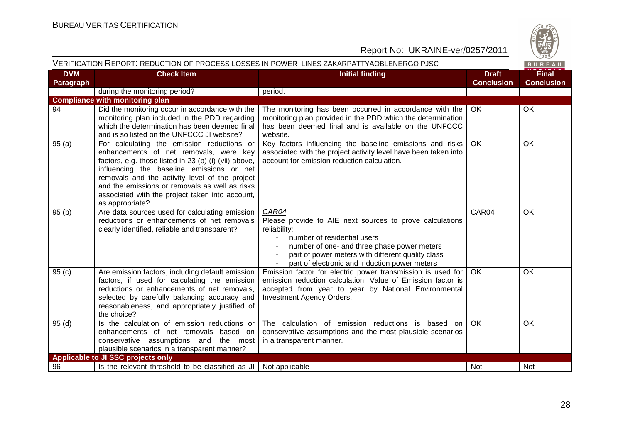

| VERIFICATION REPORT: REDUCTION OF PROCESS LOSSES IN POWER LINES ZAKARPATTYAOBLENERGO PJSC |  |
|-------------------------------------------------------------------------------------------|--|
|-------------------------------------------------------------------------------------------|--|

| <b>DVM</b><br>Paragraph | <b>Check Item</b>                                                                                                                                                                                                                                                                                                                                                    | <b>Initial finding</b>                                                                                                                                                                                                                                                | <b>Draft</b><br><b>Conclusion</b> | <b>Final</b><br><b>Conclusion</b> |
|-------------------------|----------------------------------------------------------------------------------------------------------------------------------------------------------------------------------------------------------------------------------------------------------------------------------------------------------------------------------------------------------------------|-----------------------------------------------------------------------------------------------------------------------------------------------------------------------------------------------------------------------------------------------------------------------|-----------------------------------|-----------------------------------|
|                         | during the monitoring period?                                                                                                                                                                                                                                                                                                                                        | period.                                                                                                                                                                                                                                                               |                                   |                                   |
|                         | <b>Compliance with monitoring plan</b>                                                                                                                                                                                                                                                                                                                               |                                                                                                                                                                                                                                                                       |                                   |                                   |
| 94                      | Did the monitoring occur in accordance with the<br>monitoring plan included in the PDD regarding<br>which the determination has been deemed final<br>and is so listed on the UNFCCC JI website?                                                                                                                                                                      | The monitoring has been occurred in accordance with the<br>monitoring plan provided in the PDD which the determination<br>has been deemed final and is available on the UNFCCC<br>website.                                                                            | OK                                | OK                                |
| 95(a)                   | For calculating the emission reductions or<br>enhancements of net removals, were key<br>factors, e.g. those listed in 23 (b) (i)-(vii) above,<br>influencing the baseline emissions or net<br>removals and the activity level of the project<br>and the emissions or removals as well as risks<br>associated with the project taken into account,<br>as appropriate? | Key factors influencing the baseline emissions and risks<br>associated with the project activity level have been taken into<br>account for emission reduction calculation.                                                                                            | <b>OK</b>                         | OK                                |
| 95(b)                   | Are data sources used for calculating emission<br>reductions or enhancements of net removals<br>clearly identified, reliable and transparent?                                                                                                                                                                                                                        | CAR04<br>Please provide to AIE next sources to prove calculations<br>reliability:<br>number of residential users<br>number of one- and three phase power meters<br>part of power meters with different quality class<br>part of electronic and induction power meters | CAR04                             | OK                                |
| 95(c)                   | Are emission factors, including default emission<br>factors, if used for calculating the emission<br>reductions or enhancements of net removals,<br>selected by carefully balancing accuracy and<br>reasonableness, and appropriately justified of<br>the choice?                                                                                                    | Emission factor for electric power transmission is used for<br>emission reduction calculation. Value of Emission factor is<br>accepted from year to year by National Environmental<br>Investment Agency Orders.                                                       | OK                                | OK                                |
| 95(d)                   | Is the calculation of emission reductions or<br>enhancements of net removals based on<br>conservative assumptions and the most<br>plausible scenarios in a transparent manner?                                                                                                                                                                                       | The calculation of emission reductions is based on<br>conservative assumptions and the most plausible scenarios<br>in a transparent manner.                                                                                                                           | <b>OK</b>                         | OK                                |
|                         | Applicable to JI SSC projects only                                                                                                                                                                                                                                                                                                                                   |                                                                                                                                                                                                                                                                       |                                   |                                   |
| 96                      | Is the relevant threshold to be classified as $JI$                                                                                                                                                                                                                                                                                                                   | Not applicable                                                                                                                                                                                                                                                        | <b>Not</b>                        | Not                               |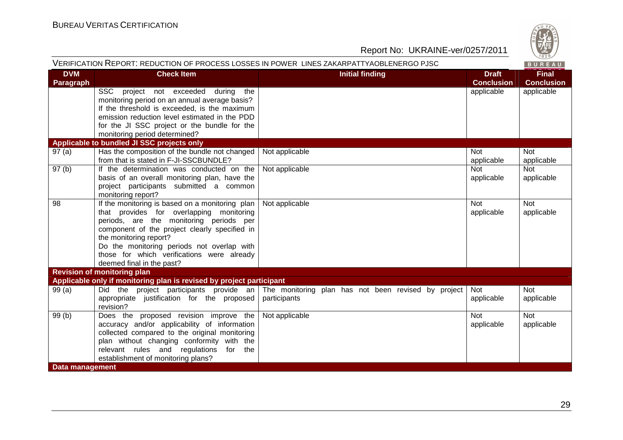

| VERIFICATION REPORT: REDUCTION OF PROCESS LOSSES IN POWER LINES ZAKARPATTYAOBLENERGO PJSC |                                                                                                                                                                                                                                                                                                                                                    |                                                                                                             |                                   | BUREAU                            |
|-------------------------------------------------------------------------------------------|----------------------------------------------------------------------------------------------------------------------------------------------------------------------------------------------------------------------------------------------------------------------------------------------------------------------------------------------------|-------------------------------------------------------------------------------------------------------------|-----------------------------------|-----------------------------------|
| <b>DVM</b><br><b>Paragraph</b>                                                            | <b>Check Item</b>                                                                                                                                                                                                                                                                                                                                  | <b>Initial finding</b>                                                                                      | <b>Draft</b><br><b>Conclusion</b> | <b>Final</b><br><b>Conclusion</b> |
|                                                                                           | SSC project not exceeded during the<br>monitoring period on an annual average basis?<br>If the threshold is exceeded, is the maximum<br>emission reduction level estimated in the PDD<br>for the JI SSC project or the bundle for the<br>monitoring period determined?                                                                             |                                                                                                             | applicable                        | applicable                        |
|                                                                                           | Applicable to bundled JI SSC projects only                                                                                                                                                                                                                                                                                                         |                                                                                                             |                                   |                                   |
| 97(a)                                                                                     | Has the composition of the bundle not changed<br>from that is stated in F-JI-SSCBUNDLE?                                                                                                                                                                                                                                                            | Not applicable                                                                                              | <b>Not</b><br>applicable          | <b>Not</b><br>applicable          |
| 97(b)                                                                                     | If the determination was conducted on the<br>basis of an overall monitoring plan, have the<br>project participants submitted a common<br>monitoring report?                                                                                                                                                                                        | Not applicable                                                                                              | <b>Not</b><br>applicable          | <b>Not</b><br>applicable          |
| 98                                                                                        | If the monitoring is based on a monitoring plan $\vert$<br>that provides for overlapping monitoring<br>periods, are the monitoring periods per<br>component of the project clearly specified in<br>the monitoring report?<br>Do the monitoring periods not overlap with<br>those for which verifications were already<br>deemed final in the past? | Not applicable                                                                                              | <b>Not</b><br>applicable          | <b>Not</b><br>applicable          |
|                                                                                           | <b>Revision of monitoring plan</b>                                                                                                                                                                                                                                                                                                                 |                                                                                                             |                                   |                                   |
|                                                                                           | Applicable only if monitoring plan is revised by project participant                                                                                                                                                                                                                                                                               |                                                                                                             |                                   |                                   |
| 99(a)                                                                                     | appropriate justification for the proposed<br>revision?                                                                                                                                                                                                                                                                                            | Did the project participants provide an The monitoring plan has not been revised by project<br>participants | Not<br>applicable                 | Not<br>applicable                 |
| 99(b)<br>Data management                                                                  | Does the proposed revision improve the<br>accuracy and/or applicability of information<br>collected compared to the original monitoring<br>plan without changing conformity with the<br>relevant rules and regulations for the<br>establishment of monitoring plans?                                                                               | Not applicable                                                                                              | <b>Not</b><br>applicable          | <b>Not</b><br>applicable          |
|                                                                                           |                                                                                                                                                                                                                                                                                                                                                    |                                                                                                             |                                   |                                   |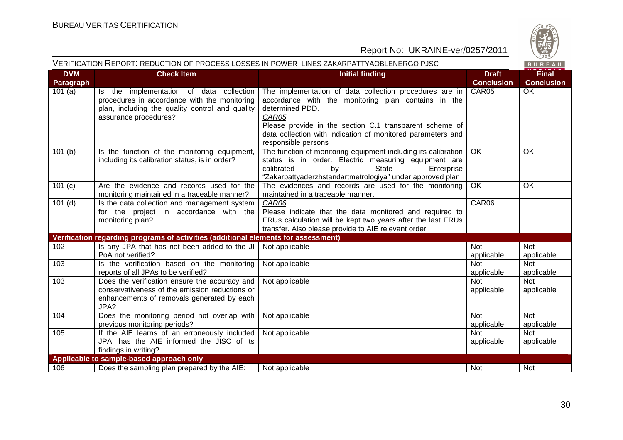

| VERIFICATION REPORT: REDUCTION OF PROCESS LOSSES IN POWER LINES ZAKARPATTYAOBLENERGO PJSC |                                                                                                                                                                      |                                                                                                                                                                                                                                                                                             |                                   | $\vee$ 829/<br>BUREAU             |
|-------------------------------------------------------------------------------------------|----------------------------------------------------------------------------------------------------------------------------------------------------------------------|---------------------------------------------------------------------------------------------------------------------------------------------------------------------------------------------------------------------------------------------------------------------------------------------|-----------------------------------|-----------------------------------|
| <b>DVM</b><br><b>Paragraph</b>                                                            | <b>Check Item</b>                                                                                                                                                    | <b>Initial finding</b>                                                                                                                                                                                                                                                                      | <b>Draft</b><br><b>Conclusion</b> | <b>Final</b><br><b>Conclusion</b> |
| 101(a)                                                                                    | Is the implementation of data collection<br>procedures in accordance with the monitoring<br>plan, including the quality control and quality<br>assurance procedures? | The implementation of data collection procedures are in<br>accordance with the monitoring plan contains in the<br>determined PDD.<br>CAR05<br>Please provide in the section C.1 transparent scheme of<br>data collection with indication of monitored parameters and<br>responsible persons | CAR05                             | <b>OK</b>                         |
| 101(b)                                                                                    | Is the function of the monitoring equipment,<br>including its calibration status, is in order?                                                                       | The function of monitoring equipment including its calibration<br>status is in order. Electric measuring equipment are<br>calibrated<br>by<br><b>State</b><br>Enterprise<br>"Zakarpattyaderzhstandartmetrologiya" under approved plan                                                       | OK                                | OK                                |
| 101(c)                                                                                    | Are the evidence and records used for the<br>monitoring maintained in a traceable manner?                                                                            | The evidences and records are used for the monitoring<br>maintained in a traceable manner.                                                                                                                                                                                                  | OK                                | OK                                |
| $101$ (d)                                                                                 | Is the data collection and management system<br>for the project in accordance with the<br>monitoring plan?                                                           | CAR06<br>Please indicate that the data monitored and required to<br>ERUs calculation will be kept two years after the last ERUs<br>transfer. Also please provide to AIE relevant order                                                                                                      | CAR06                             |                                   |
|                                                                                           | Verification regarding programs of activities (additional elements for assessment)                                                                                   |                                                                                                                                                                                                                                                                                             |                                   |                                   |
| 102                                                                                       | Is any JPA that has not been added to the JI<br>PoA not verified?                                                                                                    | Not applicable                                                                                                                                                                                                                                                                              | <b>Not</b><br>applicable          | <b>Not</b><br>applicable          |
| 103                                                                                       | Is the verification based on the monitoring<br>reports of all JPAs to be verified?                                                                                   | Not applicable                                                                                                                                                                                                                                                                              | <b>Not</b><br>applicable          | <b>Not</b><br>applicable          |
| 103                                                                                       | Does the verification ensure the accuracy and<br>conservativeness of the emission reductions or<br>enhancements of removals generated by each<br>JPA?                | Not applicable                                                                                                                                                                                                                                                                              | <b>Not</b><br>applicable          | <b>Not</b><br>applicable          |
| 104                                                                                       | Does the monitoring period not overlap with<br>previous monitoring periods?                                                                                          | Not applicable                                                                                                                                                                                                                                                                              | <b>Not</b><br>applicable          | <b>Not</b><br>applicable          |
| 105                                                                                       | If the AIE learns of an erroneously included<br>JPA, has the AIE informed the JISC of its<br>findings in writing?                                                    | Not applicable                                                                                                                                                                                                                                                                              | <b>Not</b><br>applicable          | <b>Not</b><br>applicable          |
|                                                                                           | Applicable to sample-based approach only                                                                                                                             |                                                                                                                                                                                                                                                                                             |                                   |                                   |
| 106                                                                                       | Does the sampling plan prepared by the AIE:                                                                                                                          | Not applicable                                                                                                                                                                                                                                                                              | <b>Not</b>                        | Not                               |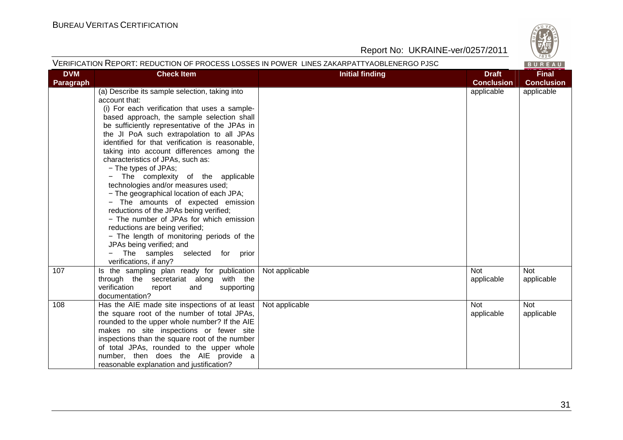

#### VERIFICATION REPORT: REDUCTION OF PROCESS LOSSES IN POWER LINES ZAKARPATTYAOBLENERGO PJSC

BUREAU

| <b>DVM</b> | <b>Check Item</b>                                                                                                                                                                                                                                                                                                                                                                                                                                                                                                                                                                                                                                                                                                                                                                                                            | <b>Initial finding</b> | <b>Draft</b>                    | <b>Final</b>                    |
|------------|------------------------------------------------------------------------------------------------------------------------------------------------------------------------------------------------------------------------------------------------------------------------------------------------------------------------------------------------------------------------------------------------------------------------------------------------------------------------------------------------------------------------------------------------------------------------------------------------------------------------------------------------------------------------------------------------------------------------------------------------------------------------------------------------------------------------------|------------------------|---------------------------------|---------------------------------|
| Paragraph  | (a) Describe its sample selection, taking into<br>account that:<br>(i) For each verification that uses a sample-<br>based approach, the sample selection shall<br>be sufficiently representative of the JPAs in<br>the JI PoA such extrapolation to all JPAs<br>identified for that verification is reasonable,<br>taking into account differences among the<br>characteristics of JPAs, such as:<br>- The types of JPAs;<br>- The complexity of the applicable<br>technologies and/or measures used;<br>- The geographical location of each JPA;<br>- The amounts of expected emission<br>reductions of the JPAs being verified;<br>- The number of JPAs for which emission<br>reductions are being verified;<br>- The length of monitoring periods of the<br>JPAs being verified; and<br>The samples selected for<br>prior |                        | <b>Conclusion</b><br>applicable | <b>Conclusion</b><br>applicable |
| 107        | verifications, if any?<br>Is the sampling plan ready for publication<br>through the secretariat along with the<br>verification<br>supporting<br>report<br>and<br>documentation?                                                                                                                                                                                                                                                                                                                                                                                                                                                                                                                                                                                                                                              | Not applicable         | <b>Not</b><br>applicable        | Not<br>applicable               |
| 108        | Has the AIE made site inspections of at least<br>the square root of the number of total JPAs,<br>rounded to the upper whole number? If the AIE<br>makes no site inspections or fewer site<br>inspections than the square root of the number<br>of total JPAs, rounded to the upper whole<br>number, then does the AIE provide a<br>reasonable explanation and justification?                                                                                                                                                                                                                                                                                                                                                                                                                                                 | Not applicable         | <b>Not</b><br>applicable        | <b>Not</b><br>applicable        |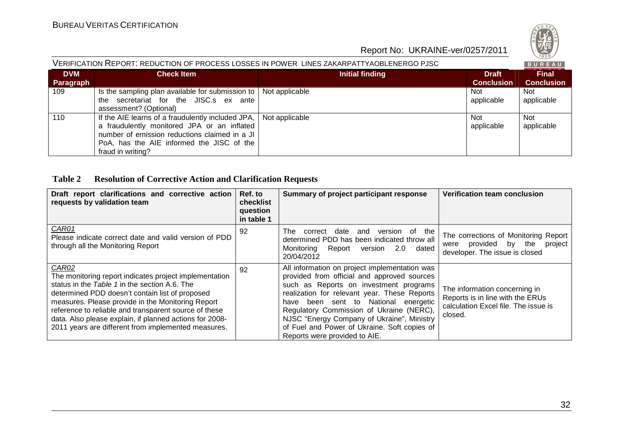

#### VERIFICATION REPORT: REDUCTION OF PROCESS LOSSES IN POWER LINES ZAKARPATTYAOBLENERGO PJSC

| <b>DVM</b><br><b>Paragraph</b> | <b>Check Item</b>                                                                                                                                                                                                   | Initial finding | <b>Draft</b><br><b>Conclusion</b> | <b>Final</b><br><b>Conclusion</b> |
|--------------------------------|---------------------------------------------------------------------------------------------------------------------------------------------------------------------------------------------------------------------|-----------------|-----------------------------------|-----------------------------------|
| 109                            | Is the sampling plan available for submission to   Not applicable<br>secretariat for the JISC.s ex ante<br>the<br>assessment? (Optional)                                                                            |                 | Not<br>applicable                 | <b>Not</b><br>applicable          |
| 110                            | If the AIE learns of a fraudulently included JPA,<br>a fraudulently monitored JPA or an inflated<br>number of emission reductions claimed in a JI<br>PoA, has the AIE informed the JISC of the<br>fraud in writing? | Not applicable  | Not<br>applicable                 | <b>Not</b><br>applicable          |

#### **Table 2 Resolution of Corrective Action and Clarification Requests**

| Draft report clarifications and corrective action<br>requests by validation team                                                                                                                                                                                                                                                                                                                    | Ref. to<br>checklist<br>question<br>in table 1 | Summary of project participant response                                                                                                                                                                                                                                                                                                                                                                      | Verification team conclusion                                                                                         |
|-----------------------------------------------------------------------------------------------------------------------------------------------------------------------------------------------------------------------------------------------------------------------------------------------------------------------------------------------------------------------------------------------------|------------------------------------------------|--------------------------------------------------------------------------------------------------------------------------------------------------------------------------------------------------------------------------------------------------------------------------------------------------------------------------------------------------------------------------------------------------------------|----------------------------------------------------------------------------------------------------------------------|
| CAR01<br>Please indicate correct date and valid version of PDD<br>through all the Monitoring Report                                                                                                                                                                                                                                                                                                 | 92                                             | of the<br>date<br>The<br>correct<br>and<br>version<br>determined PDD has been indicated throw all<br>Monitorina<br>Report<br>dated<br>version<br>2.0<br>20/04/2012                                                                                                                                                                                                                                           | The corrections of Monitoring Report<br>were provided by the<br>project<br>developer. The issue is closed            |
| CAR02<br>The monitoring report indicates project implementation<br>status in the Table 1 in the section A.6. The<br>determined PDD doesn't contain list of proposed<br>measures. Please provide in the Monitoring Report<br>reference to reliable and transparent source of these<br>data. Also please explain, if planned actions for 2008-<br>2011 years are different from implemented measures. | 92                                             | All information on project implementation was<br>provided from official and approved sources<br>such as Reports on investment programs<br>realization for relevant year. These Reports<br>have been sent to National<br>energetic<br>Regulatory Commission of Ukraine (NERC),<br>NJSC "Energy Company of Ukraine", Ministry<br>of Fuel and Power of Ukraine. Soft copies of<br>Reports were provided to AIE. | The information concerning in<br>Reports is in line with the ERUs<br>calculation Excel file. The issue is<br>closed. |